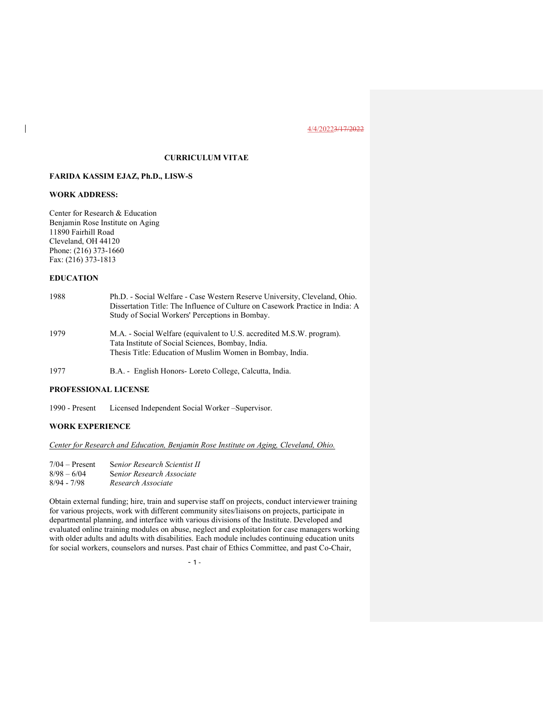# CURRICULUM VITAE

# FARIDA KASSIM EJAZ, Ph.D., LISW-S

# WORK ADDRESS:

 $\overline{\phantom{a}}$ 

Center for Research & Education Benjamin Rose Institute on Aging 11890 Fairhill Road Cleveland, OH 44120 Phone: (216) 373-1660 Fax: (216) 373-1813

# EDUCATION

| 1988 | Ph.D. - Social Welfare - Case Western Reserve University, Cleveland, Ohio.<br>Dissertation Title: The Influence of Culture on Casework Practice in India: A<br>Study of Social Workers' Perceptions in Bombay. |
|------|----------------------------------------------------------------------------------------------------------------------------------------------------------------------------------------------------------------|
| 1979 | M.A. - Social Welfare (equivalent to U.S. accredited M.S.W. program).<br>Tata Institute of Social Sciences, Bombay, India.<br>Thesis Title: Education of Muslim Women in Bombay, India.                        |

1977 B.A. - English Honors- Loreto College, Calcutta, India.

# PROFESSIONAL LICENSE

1990 - Present Licensed Independent Social Worker –Supervisor.

#### WORK EXPERIENCE

Center for Research and Education, Benjamin Rose Institute on Aging, Cleveland, Ohio.

7/04 – Present Senior Research Scientist II 8/98 – 6/04 Senior Research Associate<br>8/94 - 7/98 Research Associate Research Associate

Obtain external funding; hire, train and supervise staff on projects, conduct interviewer training for various projects, work with different community sites/liaisons on projects, participate in departmental planning, and interface with various divisions of the Institute. Developed and evaluated online training modules on abuse, neglect and exploitation for case managers working with older adults and adults with disabilities. Each module includes continuing education units for social workers, counselors and nurses. Past chair of Ethics Committee, and past Co-Chair,

 $-1$  -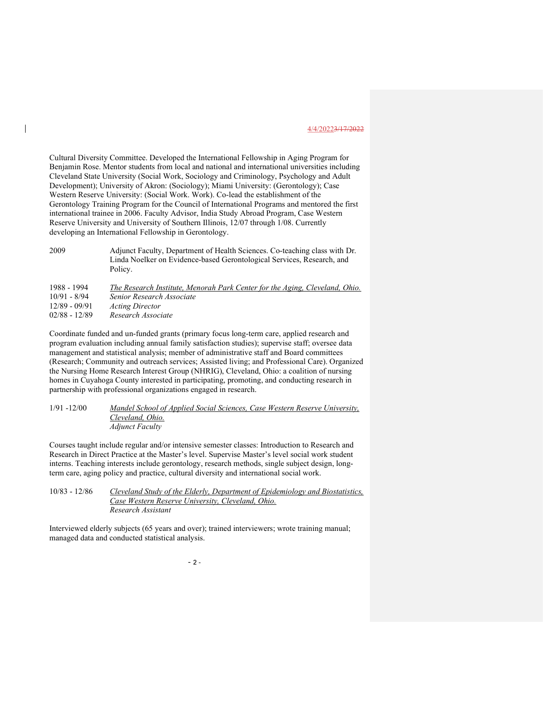Cultural Diversity Committee. Developed the International Fellowship in Aging Program for Benjamin Rose. Mentor students from local and national and international universities including Cleveland State University (Social Work, Sociology and Criminology, Psychology and Adult Development); University of Akron: (Sociology); Miami University: (Gerontology); Case Western Reserve University: (Social Work. Work). Co-lead the establishment of the Gerontology Training Program for the Council of International Programs and mentored the first international trainee in 2006. Faculty Advisor, India Study Abroad Program, Case Western Reserve University and University of Southern Illinois, 12/07 through 1/08. Currently developing an International Fellowship in Gerontology.

 $\overline{\phantom{a}}$ 

2009 Adjunct Faculty, Department of Health Sciences. Co-teaching class with Dr. Linda Noelker on Evidence-based Gerontological Services, Research, and Policy.

| 1988 - 1994     | The Research Institute, Menorah Park Center for the Aging, Cleveland, Ohio. |
|-----------------|-----------------------------------------------------------------------------|
| $10/91 - 8/94$  | Senior Research Associate                                                   |
| $12/89 - 09/91$ | <i>Acting Director</i>                                                      |
| $02/88 - 12/89$ | Research Associate                                                          |

Coordinate funded and un-funded grants (primary focus long-term care, applied research and program evaluation including annual family satisfaction studies); supervise staff; oversee data management and statistical analysis; member of administrative staff and Board committees (Research; Community and outreach services; Assisted living; and Professional Care). Organized the Nursing Home Research Interest Group (NHRIG), Cleveland, Ohio: a coalition of nursing homes in Cuyahoga County interested in participating, promoting, and conducting research in partnership with professional organizations engaged in research.

## 1/91 -12/00 Mandel School of Applied Social Sciences, Case Western Reserve University, Cleveland, Ohio. Adjunct Faculty

Courses taught include regular and/or intensive semester classes: Introduction to Research and Research in Direct Practice at the Master's level. Supervise Master's level social work student interns. Teaching interests include gerontology, research methods, single subject design, longterm care, aging policy and practice, cultural diversity and international social work.

| $10/83 - 12/86$ | Cleveland Study of the Elderly, Department of Epidemiology and Biostatistics, |
|-----------------|-------------------------------------------------------------------------------|
|                 | Case Western Reserve University, Cleveland, Ohio.                             |
|                 | Research Assistant                                                            |

Interviewed elderly subjects (65 years and over); trained interviewers; wrote training manual; managed data and conducted statistical analysis.

 $-2$  -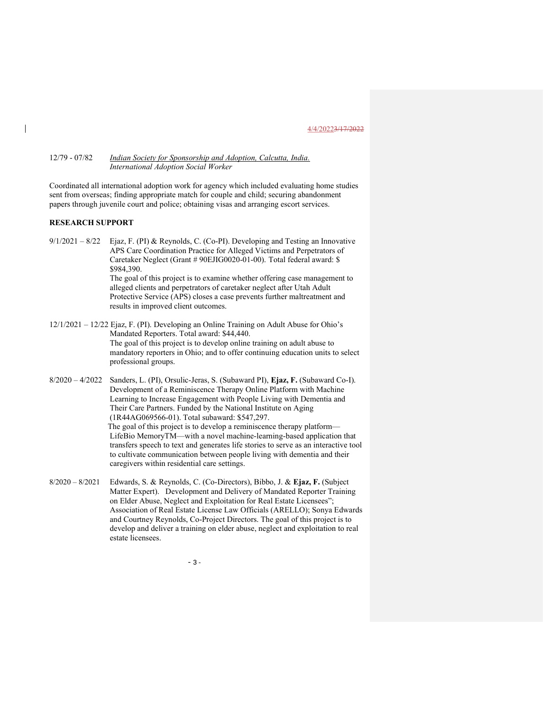# 12/79 - 07/82 *Indian Society for Sponsorship and Adoption, Calcutta, India.* International Adoption Social Worker

Coordinated all international adoption work for agency which included evaluating home studies sent from overseas; finding appropriate match for couple and child; securing abandonment papers through juvenile court and police; obtaining visas and arranging escort services.

# RESEARCH SUPPORT

9/1/2021 – 8/22 Ejaz, F. (PI) & Reynolds, C. (Co-PI). Developing and Testing an Innovative APS Care Coordination Practice for Alleged Victims and Perpetrators of Caretaker Neglect (Grant # 90EJIG0020-01-00). Total federal award: \$ \$984,390. The goal of this project is to examine whether offering case management to

alleged clients and perpetrators of caretaker neglect after Utah Adult Protective Service (APS) closes a case prevents further maltreatment and results in improved client outcomes.

- 12/1/2021 12/22 Ejaz, F. (PI). Developing an Online Training on Adult Abuse for Ohio's Mandated Reporters. Total award: \$44,440. The goal of this project is to develop online training on adult abuse to mandatory reporters in Ohio; and to offer continuing education units to select professional groups.
- 8/2020 4/2022 Sanders, L. (PI), Orsulic-Jeras, S. (Subaward PI), Ejaz, F. (Subaward Co-I). Development of a Reminiscence Therapy Online Platform with Machine Learning to Increase Engagement with People Living with Dementia and Their Care Partners. Funded by the National Institute on Aging (1R44AG069566-01). Total subaward: \$547,297. The goal of this project is to develop a reminiscence therapy platform— LifeBio MemoryTM—with a novel machine-learning-based application that transfers speech to text and generates life stories to serve as an interactive tool to cultivate communication between people living with dementia and their caregivers within residential care settings.
- 8/2020 8/2021 Edwards, S. & Reynolds, C. (Co-Directors), Bibbo, J. & Ejaz, F. (Subject Matter Expert). Development and Delivery of Mandated Reporter Training on Elder Abuse, Neglect and Exploitation for Real Estate Licensees"; Association of Real Estate License Law Officials (ARELLO); Sonya Edwards and Courtney Reynolds, Co-Project Directors. The goal of this project is to develop and deliver a training on elder abuse, neglect and exploitation to real estate licensees.

 $-3-$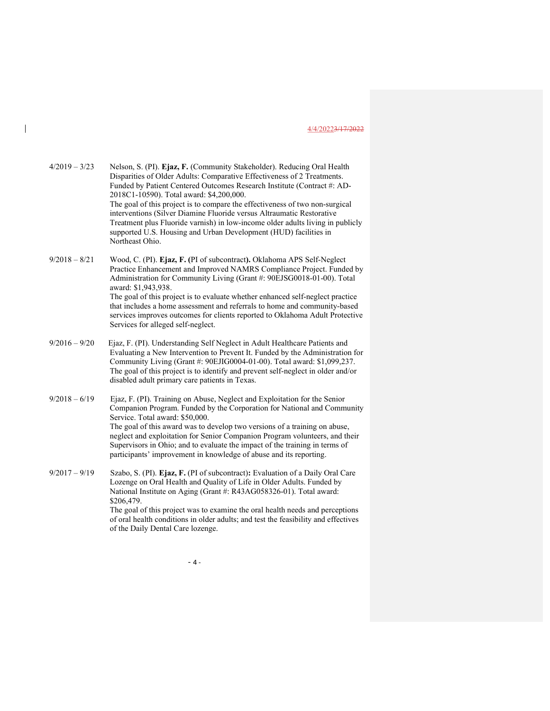4/2019 – 3/23 Nelson, S. (PI). Ejaz, F. (Community Stakeholder). Reducing Oral Health Disparities of Older Adults: Comparative Effectiveness of 2 Treatments. Funded by Patient Centered Outcomes Research Institute (Contract #: AD-2018C1-10590). Total award: \$4,200,000. The goal of this project is to compare the effectiveness of two non-surgical interventions (Silver Diamine Fluoride versus Altraumatic Restorative Treatment plus Fluoride varnish) in low-income older adults living in publicly supported U.S. Housing and Urban Development (HUD) facilities in Northeast Ohio. 9/2018 – 8/21 Wood, C. (PI). Ejaz, F. (PI of subcontract). Oklahoma APS Self-Neglect Practice Enhancement and Improved NAMRS Compliance Project. Funded by Administration for Community Living (Grant #: 90EJSG0018-01-00). Total award: \$1,943,938. The goal of this project is to evaluate whether enhanced self-neglect practice that includes a home assessment and referrals to home and community-based services improves outcomes for clients reported to Oklahoma Adult Protective Services for alleged self-neglect. 9/2016 – 9/20 Ejaz, F. (PI). Understanding Self Neglect in Adult Healthcare Patients and Evaluating a New Intervention to Prevent It. Funded by the Administration for Community Living (Grant #: 90EJIG0004-01-00). Total award: \$1,099,237. The goal of this project is to identify and prevent self-neglect in older and/or disabled adult primary care patients in Texas. 9/2018 – 6/19 Ejaz, F. (PI). Training on Abuse, Neglect and Exploitation for the Senior Companion Program. Funded by the Corporation for National and Community Service. Total award: \$50,000. The goal of this award was to develop two versions of a training on abuse, neglect and exploitation for Senior Companion Program volunteers, and their Supervisors in Ohio; and to evaluate the impact of the training in terms of participants' improvement in knowledge of abuse and its reporting. 9/2017 – 9/19 Szabo, S. (PI). Ejaz, F. (PI of subcontract): Evaluation of a Daily Oral Care Lozenge on Oral Health and Quality of Life in Older Adults. Funded by National Institute on Aging (Grant #: R43AG058326-01). Total award: \$206,479. The goal of this project was to examine the oral health needs and perceptions of oral health conditions in older adults; and test the feasibility and effectives of the Daily Dental Care lozenge.

 $-4-$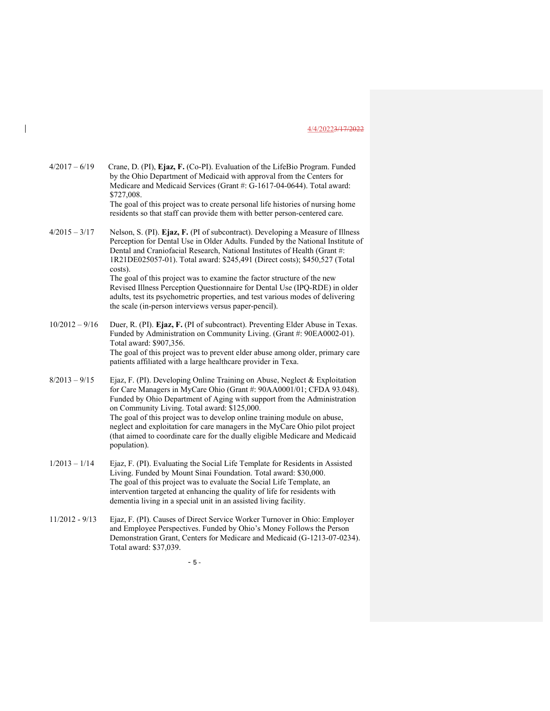| $4/2017 - 6/19$ | Crane, D. (PI), Ejaz, F. (Co-PI). Evaluation of the LifeBio Program. Funded    |
|-----------------|--------------------------------------------------------------------------------|
|                 | by the Ohio Department of Medicaid with approval from the Centers for          |
|                 | Medicare and Medicaid Services (Grant #: G-1617-04-0644). Total award:         |
|                 | \$727,008.                                                                     |
|                 | The goal of this project was to events personal life histories of pursing home |

The goal of this project was to create personal life histories of nursing home residents so that staff can provide them with better person-centered care.

 $4/2015 - 3/17$  Nelson, S. (PI). Ejaz, F. (PI of subcontract). Developing a Measure of Illness Perception for Dental Use in Older Adults. Funded by the National Institute of Dental and Craniofacial Research, National Institutes of Health (Grant #: 1R21DE025057-01). Total award: \$245,491 (Direct costs); \$450,527 (Total costs). The goal of this project was to examine the factor structure of the new

Revised Illness Perception Questionnaire for Dental Use (IPQ-RDE) in older adults, test its psychometric properties, and test various modes of delivering the scale (in-person interviews versus paper-pencil).

- 10/2012 9/16 Duer, R. (PI). Ejaz, F. (PI of subcontract). Preventing Elder Abuse in Texas. Funded by Administration on Community Living. (Grant #: 90EA0002-01). Total award: \$907,356. The goal of this project was to prevent elder abuse among older, primary care patients affiliated with a large healthcare provider in Texa.
- 8/2013 9/15 Ejaz, F. (PI). Developing Online Training on Abuse, Neglect & Exploitation for Care Managers in MyCare Ohio (Grant #: 90AA0001/01; CFDA 93.048). Funded by Ohio Department of Aging with support from the Administration on Community Living. Total award: \$125,000. The goal of this project was to develop online training module on abuse,

neglect and exploitation for care managers in the MyCare Ohio pilot project (that aimed to coordinate care for the dually eligible Medicare and Medicaid population).

- 1/2013 1/14 Ejaz, F. (PI). Evaluating the Social Life Template for Residents in Assisted Living. Funded by Mount Sinai Foundation. Total award: \$30,000. The goal of this project was to evaluate the Social Life Template, an intervention targeted at enhancing the quality of life for residents with dementia living in a special unit in an assisted living facility.
- 11/2012 9/13 Ejaz, F. (PI). Causes of Direct Service Worker Turnover in Ohio: Employer and Employee Perspectives. Funded by Ohio's Money Follows the Person Demonstration Grant, Centers for Medicare and Medicaid (G-1213-07-0234). Total award: \$37,039.

 $-5-$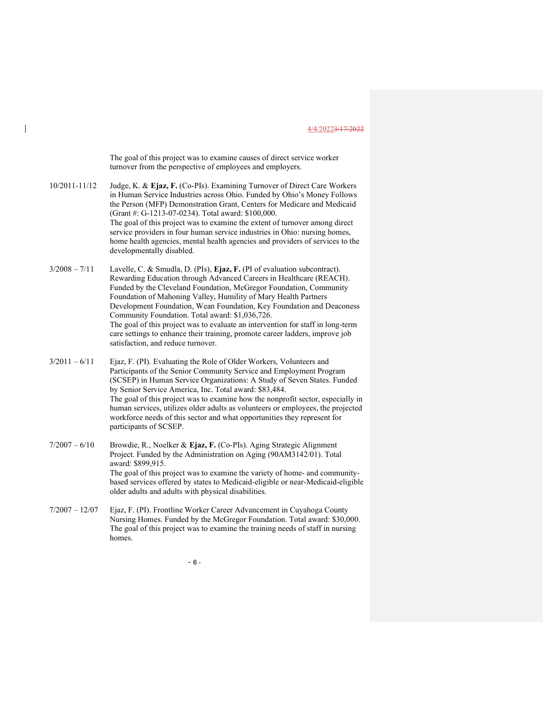The goal of this project was to examine causes of direct service worker turnover from the perspective of employees and employers.

10/2011-11/12 Judge, K. & Ejaz, F. (Co-PIs). Examining Turnover of Direct Care Workers in Human Service Industries across Ohio. Funded by Ohio's Money Follows the Person (MFP) Demonstration Grant, Centers for Medicare and Medicaid (Grant #: G-1213-07-0234). Total award: \$100,000. The goal of this project was to examine the extent of turnover among direct service providers in four human service industries in Ohio: nursing homes, home health agencies, mental health agencies and providers of services to the developmentally disabled.

 $3/2008 - 7/11$  Lavelle, C. & Smudla, D. (PIs), Ejaz, F. (PI of evaluation subcontract). Rewarding Education through Advanced Careers in Healthcare (REACH). Funded by the Cleveland Foundation, McGregor Foundation, Community Foundation of Mahoning Valley, Humility of Mary Health Partners Development Foundation, Wean Foundation, Key Foundation and Deaconess Community Foundation. Total award: \$1,036,726. The goal of this project was to evaluate an intervention for staff in long-term care settings to enhance their training, promote career ladders, improve job satisfaction, and reduce turnover.

 $3/2011 - 6/11$  Ejaz, F. (PI). Evaluating the Role of Older Workers, Volunteers and Participants of the Senior Community Service and Employment Program (SCSEP) in Human Service Organizations: A Study of Seven States. Funded by Senior Service America, Inc. Total award: \$83,484. The goal of this project was to examine how the nonprofit sector, especially in human services, utilizes older adults as volunteers or employees, the projected workforce needs of this sector and what opportunities they represent for participants of SCSEP.

7/2007 – 6/10 Browdie, R., Noelker & Ejaz, F. (Co-PIs). Aging Strategic Alignment Project. Funded by the Administration on Aging (90AM3142/01). Total award: \$899,915. The goal of this project was to examine the variety of home- and communitybased services offered by states to Medicaid-eligible or near-Medicaid-eligible older adults and adults with physical disabilities.

7/2007 – 12/07 Ejaz, F. (PI). Frontline Worker Career Advancement in Cuyahoga County Nursing Homes. Funded by the McGregor Foundation. Total award: \$30,000. The goal of this project was to examine the training needs of staff in nursing homes.

 $- 6 -$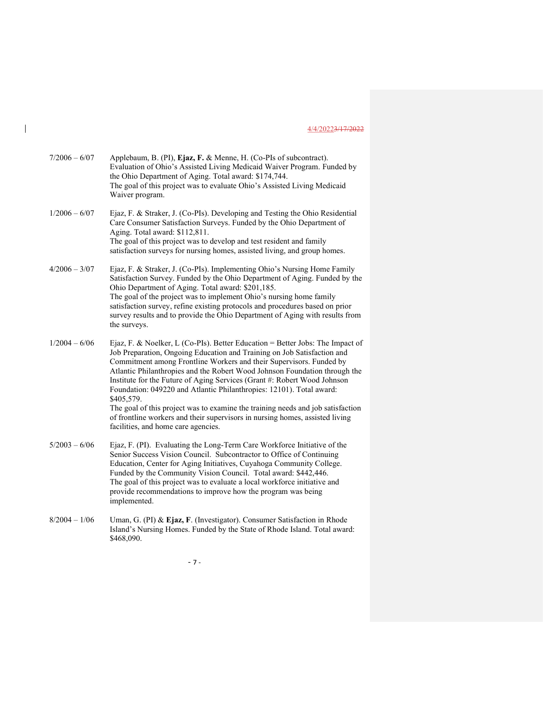| $7/2006 - 6/07$ | Applebaum, B. (PI), Ejaz, F. & Menne, H. (Co-PIs of subcontract).<br>Evaluation of Ohio's Assisted Living Medicaid Waiver Program. Funded by<br>the Ohio Department of Aging. Total award: \$174,744.<br>The goal of this project was to evaluate Ohio's Assisted Living Medicaid<br>Waiver program.                                                                                                                                                                                                                                                                                                                                                                                      |
|-----------------|-------------------------------------------------------------------------------------------------------------------------------------------------------------------------------------------------------------------------------------------------------------------------------------------------------------------------------------------------------------------------------------------------------------------------------------------------------------------------------------------------------------------------------------------------------------------------------------------------------------------------------------------------------------------------------------------|
| $1/2006 - 6/07$ | Ejaz, F. & Straker, J. (Co-PIs). Developing and Testing the Ohio Residential<br>Care Consumer Satisfaction Surveys. Funded by the Ohio Department of<br>Aging. Total award: \$112,811.<br>The goal of this project was to develop and test resident and family<br>satisfaction surveys for nursing homes, assisted living, and group homes.                                                                                                                                                                                                                                                                                                                                               |
| $4/2006 - 3/07$ | Ejaz, F. & Straker, J. (Co-PIs). Implementing Ohio's Nursing Home Family<br>Satisfaction Survey. Funded by the Ohio Department of Aging. Funded by the<br>Ohio Department of Aging. Total award: \$201,185.<br>The goal of the project was to implement Ohio's nursing home family<br>satisfaction survey, refine existing protocols and procedures based on prior<br>survey results and to provide the Ohio Department of Aging with results from<br>the surveys.                                                                                                                                                                                                                        |
| $1/2004 - 6/06$ | Ejaz, F. & Noelker, L (Co-PIs). Better Education = Better Jobs: The Impact of<br>Job Preparation, Ongoing Education and Training on Job Satisfaction and<br>Commitment among Frontline Workers and their Supervisors. Funded by<br>Atlantic Philanthropies and the Robert Wood Johnson Foundation through the<br>Institute for the Future of Aging Services (Grant #: Robert Wood Johnson<br>Foundation: 049220 and Atlantic Philanthropies: 12101). Total award:<br>\$405,579.<br>The goal of this project was to examine the training needs and job satisfaction<br>of frontline workers and their supervisors in nursing homes, assisted living<br>facilities, and home care agencies. |
| $5/2003 - 6/06$ | Ejaz, F. (PI). Evaluating the Long-Term Care Workforce Initiative of the<br>Senior Success Vision Council. Subcontractor to Office of Continuing<br>Education, Center for Aging Initiatives, Cuyahoga Community College.<br>Funded by the Community Vision Council. Total award: \$442,446.<br>The goal of this project was to evaluate a local workforce initiative and<br>provide recommendations to improve how the program was being<br>implemented.                                                                                                                                                                                                                                  |
| $8/2004 - 1/06$ | Uman, G. (PI) & Ejaz, F. (Investigator). Consumer Satisfaction in Rhode<br>Island's Nursing Homes. Funded by the State of Rhode Island. Total award:<br>\$468,090.                                                                                                                                                                                                                                                                                                                                                                                                                                                                                                                        |

 $\overline{\phantom{a}}$ 

- 7 -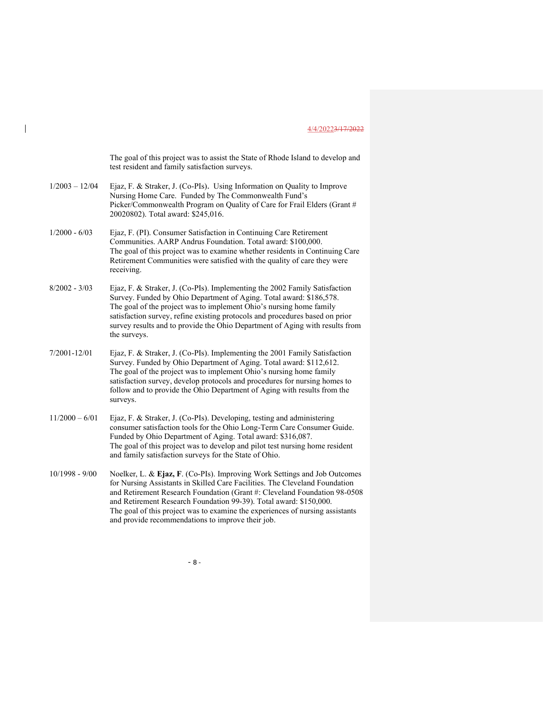The goal of this project was to assist the State of Rhode Island to develop and test resident and family satisfaction surveys.

- 1/2003 12/04 Ejaz, F. & Straker, J. (Co-PIs). Using Information on Quality to Improve Nursing Home Care. Funded by The Commonwealth Fund's Picker/Commonwealth Program on Quality of Care for Frail Elders (Grant # 20020802). Total award: \$245,016.
- 1/2000 6/03 Ejaz, F. (PI). Consumer Satisfaction in Continuing Care Retirement Communities. AARP Andrus Foundation. Total award: \$100,000. The goal of this project was to examine whether residents in Continuing Care Retirement Communities were satisfied with the quality of care they were receiving.
- 8/2002 3/03 Ejaz, F. & Straker, J. (Co-PIs). Implementing the 2002 Family Satisfaction Survey. Funded by Ohio Department of Aging. Total award: \$186,578. The goal of the project was to implement Ohio's nursing home family satisfaction survey, refine existing protocols and procedures based on prior survey results and to provide the Ohio Department of Aging with results from the surveys.
- 7/2001-12/01 Ejaz, F. & Straker, J. (Co-PIs). Implementing the 2001 Family Satisfaction Survey. Funded by Ohio Department of Aging. Total award: \$112,612. The goal of the project was to implement Ohio's nursing home family satisfaction survey, develop protocols and procedures for nursing homes to follow and to provide the Ohio Department of Aging with results from the surveys.
- 11/2000 6/01 Ejaz, F. & Straker, J. (Co-PIs). Developing, testing and administering consumer satisfaction tools for the Ohio Long-Term Care Consumer Guide. Funded by Ohio Department of Aging. Total award: \$316,087. The goal of this project was to develop and pilot test nursing home resident and family satisfaction surveys for the State of Ohio.
- 10/1998 9/00 Noelker, L. & Ejaz, F. (Co-PIs). Improving Work Settings and Job Outcomes for Nursing Assistants in Skilled Care Facilities. The Cleveland Foundation and Retirement Research Foundation (Grant #: Cleveland Foundation 98-0508 and Retirement Research Foundation 99-39). Total award: \$150,000. The goal of this project was to examine the experiences of nursing assistants and provide recommendations to improve their job.

 $-8-$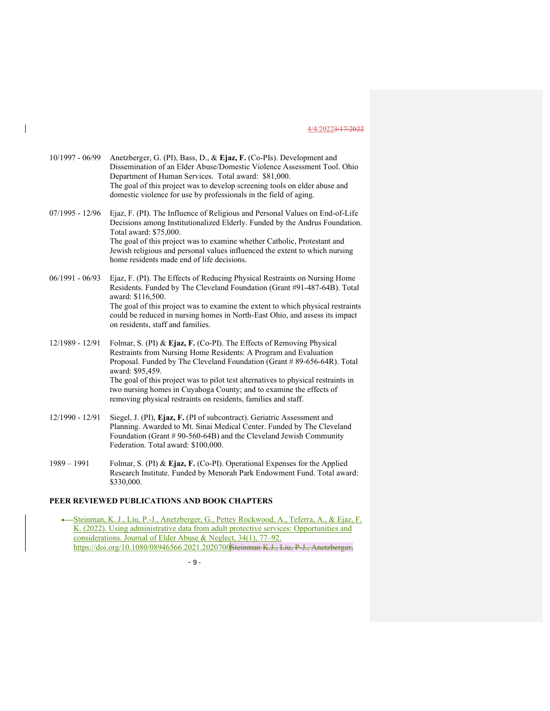| $10/1997 - 06/99$ | Anetzberger, G. (PI), Bass, D., & Ejaz, F. (Co-PIs). Development and<br>Dissemination of an Elder Abuse/Domestic Violence Assessment Tool. Ohio<br>Department of Human Services. Total award: \$81,000. |
|-------------------|---------------------------------------------------------------------------------------------------------------------------------------------------------------------------------------------------------|
|                   | The goal of this project was to develop screening tools on elder abuse and<br>domestic violence for use by professionals in the field of aging.                                                         |
| $07/1995 - 12/96$ | Ejaz, F. (PI). The Influence of Religious and Personal Values on End-of-Life<br>Decisions among Institutionalized Elderly. Funded by the Andrus Foundation.                                             |

Total award: \$75,000. The goal of this project was to examine whether Catholic, Protestant and Jewish religious and personal values influenced the extent to which nursing home residents made end of life decisions.

06/1991 - 06/93 Ejaz, F. (PI). The Effects of Reducing Physical Restraints on Nursing Home Residents. Funded by The Cleveland Foundation (Grant #91-487-64B). Total award: \$116,500. The goal of this project was to examine the extent to which physical restraints could be reduced in nursing homes in North-East Ohio, and assess its impact on residents, staff and families.

12/1989 - 12/91 Folmar, S. (PI) & Ejaz, F. (Co-PI). The Effects of Removing Physical Restraints from Nursing Home Residents: A Program and Evaluation Proposal. Funded by The Cleveland Foundation (Grant # 89-656-64R). Total award: \$95,459. The goal of this project was to pilot test alternatives to physical restraints in two nursing homes in Cuyahoga County; and to examine the effects of removing physical restraints on residents, families and staff.

- 12/1990 12/91 Siegel, J. (PI), Ejaz, F. (PI of subcontract). Geriatric Assessment and Planning. Awarded to Mt. Sinai Medical Center. Funded by The Cleveland Foundation (Grant # 90-560-64B) and the Cleveland Jewish Community Federation. Total award: \$100,000.
- 1989 1991 Folmar, S. (PI) & Ejaz, F. (Co-PI). Operational Expenses for the Applied Research Institute. Funded by Menorah Park Endowment Fund. Total award: \$330,000.

# PEER REVIEWED PUBLICATIONS AND BOOK CHAPTERS

 Steinman, K. J., Liu, P.-J., Anetzberger, G., Pettey Rockwood, A., Teferra, A., & Ejaz, F. K. (2022). Using administrative data from adult protective services: Opportunities and considerations. Journal of Elder Abuse & Neglect, 34(1), 77–92. https://doi.org/10.1080/08946566.2021.2020700 Steinman K.J., Liu, P-J., Anetzberger,

 $-9-$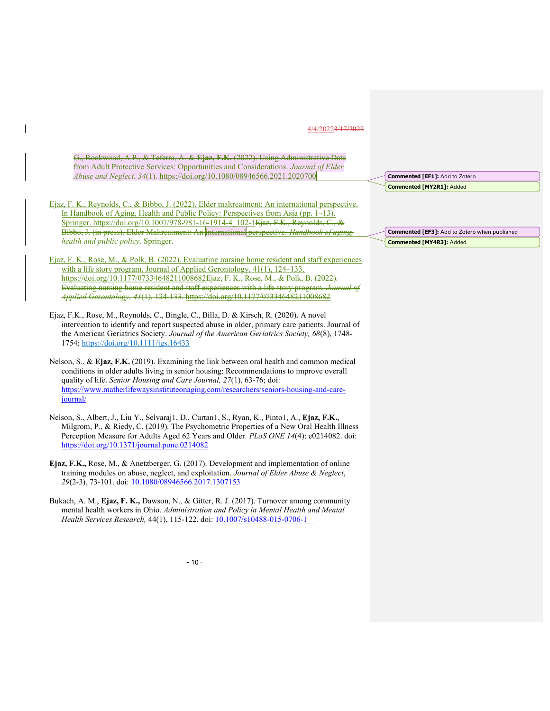G., Rockwood, A.P., & Teferra, A. & Ejaz, F.K. (2022). Using Administrative Data from Adult Protective Services: Opportunities and Considerations. Journal of Elder Abuse and Neglect. 34(1). https://doi.org/10.1080/08946566.2021.2020700 Ejaz, F. K., Reynolds, C., & Bibbo, J. (2022). Elder maltreatment: An international perspective. In Handbook of Aging, Health and Public Policy: Perspectives from Asia (pp. 1–13). Springer. https://doi.org/10.1007/978-981-16-1914-4\_102-1Ejaz, F.K., Reynolds, C., & Bibbo, J. (in press). Elder Maltreatment: An international perspective. Handbook of aging health and public policy. Springer. Ejaz, F. K., Rose, M., & Polk, B. (2022). Evaluating nursing home resident and staff experiences with a life story program. Journal of Applied Gerontology, 41(1), 124–133. https://doi.org/10.1177/07334648211008682Ejaz, F. K., Rose, M., & Polk, B. (2022). Evaluating nursing home resident and staff experiences with a life story program. Journal of Applied Gerontology, 41(1), 124-133. https://doi.org/10.1177/07334648211008682 Ejaz, F.K., Rose, M., Reynolds, C., Bingle, C., Billa, D. & Kirsch, R. (2020). A novel intervention to identify and report suspected abuse in older, primary care patients. Journal of the American Geriatrics Society. Journal of the American Geriatrics Society, 68(8), 1748- 1754; https://doi.org/10.1111/jgs.16433 Nelson, S., & Ejaz, F.K. (2019). Examining the link between oral health and common medical conditions in older adults living in senior housing: Recommendations to improve overall quality of life. Senior Housing and Care Journal, 27(1), 63-76; doi: https://www.matherlifewaysinstituteonaging.com/researchers/seniors-housing-and-carejournal/ Nelson, S., Albert, J., Liu Y., Selvaraj1, D., Curtan1, S., Ryan, K., Pinto1, A., Ejaz, F.K., Milgrom, P., & Riedy, C. (2019). The Psychometric Properties of a New Oral Health Illness Perception Measure for Adults Aged 62 Years and Older. PLoS ONE 14(4): e0214082. doi: https://doi.org/10.1371/journal.pone.0214082 Commented [EF1]: Add to Zotero Commented [MY2R1]: Added Commented [EF3]: Add to Zotero when published Commented [MY4R3]: Added

Ejaz, F.K., Rose, M., & Anetzberger, G. (2017). Development and implementation of online training modules on abuse, neglect, and exploitation. Journal of Elder Abuse & Neglect, 29(2-3), 73-101. doi: 10.1080/08946566.2017.1307153

Bukach, A. M., Ejaz, F. K., Dawson, N., & Gitter, R. J. (2017). Turnover among community mental health workers in Ohio. Administration and Policy in Mental Health and Mental Health Services Research, 44(1), 115-122. doi: 10.1007/s10488-015-0706-1

 $-10-$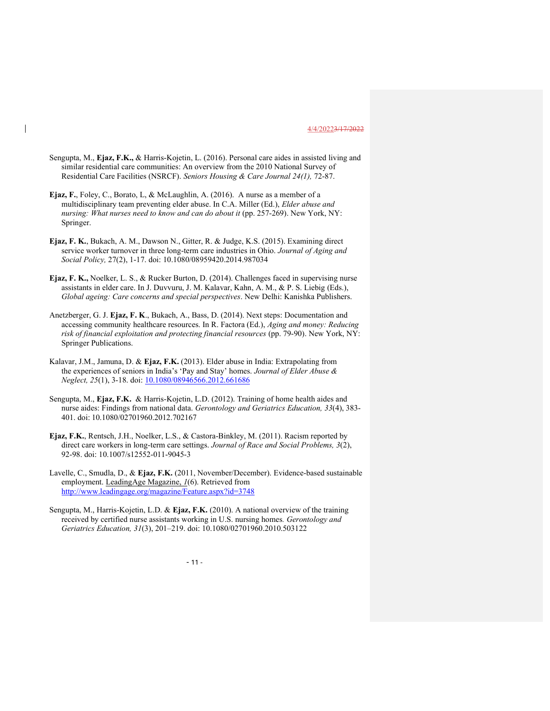- Sengupta, M., Ejaz, F.K., & Harris-Kojetin, L. (2016). Personal care aides in assisted living and similar residential care communities: An overview from the 2010 National Survey of Residential Care Facilities (NSRCF). Seniors Housing & Care Journal 24(1), 72-87.
- Ejaz, F., Foley, C., Borato, L, & McLaughlin, A. (2016). A nurse as a member of a multidisciplinary team preventing elder abuse. In C.A. Miller (Ed.), Elder abuse and nursing: What nurses need to know and can do about it (pp. 257-269). New York, NY: Springer.
- Ejaz, F. K., Bukach, A. M., Dawson N., Gitter, R. & Judge, K.S. (2015). Examining direct service worker turnover in three long-term care industries in Ohio. Journal of Aging and Social Policy, 27(2), 1-17. doi: 10.1080/08959420.2014.987034
- Ejaz, F. K., Noelker, L. S., & Rucker Burton, D. (2014). Challenges faced in supervising nurse assistants in elder care. In J. Duvvuru, J. M. Kalavar, Kahn, A. M., & P. S. Liebig (Eds.), Global ageing: Care concerns and special perspectives. New Delhi: Kanishka Publishers.
- Anetzberger, G. J. Ejaz, F. K., Bukach, A., Bass, D. (2014). Next steps: Documentation and accessing community healthcare resources. In R. Factora (Ed.), Aging and money: Reducing risk of financial exploitation and protecting financial resources (pp. 79-90). New York, NY: Springer Publications.
- Kalavar, J.M., Jamuna, D. & Ejaz, F.K. (2013). Elder abuse in India: Extrapolating from the experiences of seniors in India's 'Pay and Stay' homes. Journal of Elder Abuse & Neglect, 25(1), 3-18. doi: 10.1080/08946566.2012.661686
- Sengupta, M., Ejaz, F.K. & Harris-Kojetin, L.D. (2012). Training of home health aides and nurse aides: Findings from national data. Gerontology and Geriatrics Education, 33(4), 383- 401. doi: 10.1080/02701960.2012.702167
- Ejaz, F.K., Rentsch, J.H., Noelker, L.S., & Castora-Binkley, M. (2011). Racism reported by direct care workers in long-term care settings. Journal of Race and Social Problems, 3(2), 92-98. doi: 10.1007/s12552-011-9045-3
- Lavelle, C., Smudla, D., & Ejaz, F.K. (2011, November/December). Evidence-based sustainable employment. LeadingAge Magazine, 1(6). Retrieved from http://www.leadingage.org/magazine/Feature.aspx?id=3748
- Sengupta, M., Harris-Kojetin, L.D. & Ejaz, F.K. (2010). A national overview of the training received by certified nurse assistants working in U.S. nursing homes. Gerontology and Geriatrics Education, 31(3), 201–219. doi: 10.1080/02701960.2010.503122

 $-11$  -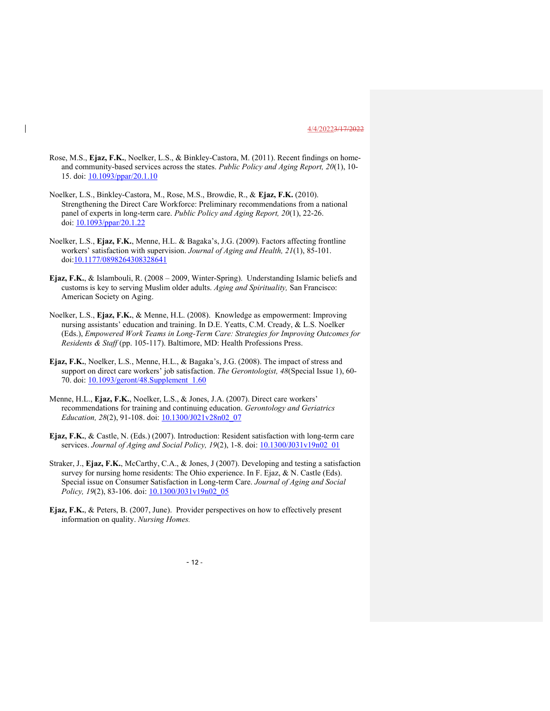- Rose, M.S., Ejaz, F.K., Noelker, L.S., & Binkley-Castora, M. (2011). Recent findings on homeand community-based services across the states. Public Policy and Aging Report, 20(1), 10- 15. doi: 10.1093/ppar/20.1.10
- Noelker, L.S., Binkley-Castora, M., Rose, M.S., Browdie, R., & Ejaz, F.K. (2010). Strengthening the Direct Care Workforce: Preliminary recommendations from a national panel of experts in long-term care. Public Policy and Aging Report, 20(1), 22-26. doi: 10.1093/ppar/20.1.22
- Noelker, L.S., Ejaz, F.K., Menne, H.L. & Bagaka's, J.G. (2009). Factors affecting frontline workers' satisfaction with supervision. Journal of Aging and Health, 21(1), 85-101. doi:10.1177/0898264308328641
- Ejaz, F.K., & Islambouli, R. (2008 2009, Winter-Spring). Understanding Islamic beliefs and customs is key to serving Muslim older adults. Aging and Spirituality, San Francisco: American Society on Aging.
- Noelker, L.S., Ejaz, F.K., & Menne, H.L. (2008). Knowledge as empowerment: Improving nursing assistants' education and training. In D.E. Yeatts, C.M. Cready, & L.S. Noelker (Eds.), Empowered Work Teams in Long-Term Care: Strategies for Improving Outcomes for Residents & Staff (pp. 105-117). Baltimore, MD: Health Professions Press.
- Ejaz, F.K., Noelker, L.S., Menne, H.L., & Bagaka's, J.G. (2008). The impact of stress and support on direct care workers' job satisfaction. The Gerontologist, 48(Special Issue 1), 60-70. doi: 10.1093/geront/48.Supplement\_1.60
- Menne, H.L., Ejaz, F.K., Noelker, L.S., & Jones, J.A. (2007). Direct care workers' recommendations for training and continuing education. Gerontology and Geriatrics Education, 28(2), 91-108. doi: 10.1300/J021v28n02\_07
- Ejaz, F.K., & Castle, N. (Eds.) (2007). Introduction: Resident satisfaction with long-term care services. Journal of Aging and Social Policy, 19(2), 1-8. doi:  $10.1300/J031v19n02$  01
- Straker, J., Ejaz, F.K., McCarthy, C.A., & Jones, J (2007). Developing and testing a satisfaction survey for nursing home residents: The Ohio experience. In F. Ejaz, & N. Castle (Eds). Special issue on Consumer Satisfaction in Long-term Care. Journal of Aging and Social Policy, 19(2), 83-106. doi:  $\underline{10.1300/J031v19n02}$  05
- Ejaz, F.K., & Peters, B. (2007, June). Provider perspectives on how to effectively present information on quality. Nursing Homes.

 $- 12 -$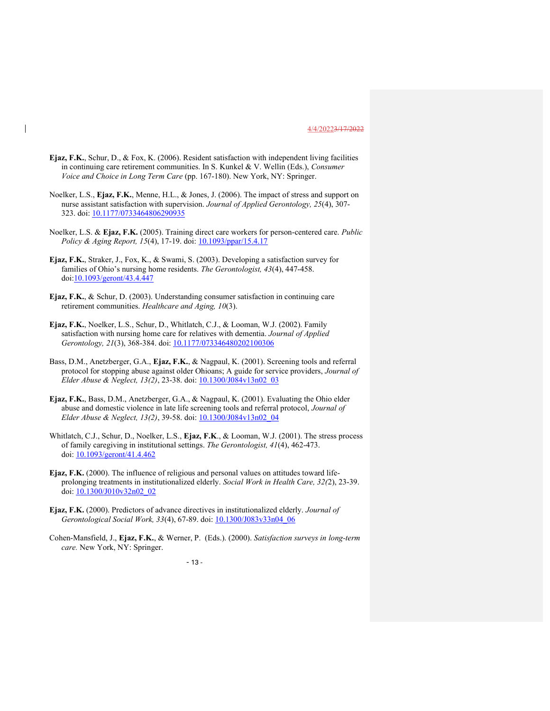- Ejaz, F.K., Schur, D., & Fox, K. (2006). Resident satisfaction with independent living facilities in continuing care retirement communities. In S. Kunkel & V. Wellin (Eds.), Consumer Voice and Choice in Long Term Care (pp. 167-180). New York, NY: Springer.
- Noelker, L.S., Ejaz, F.K., Menne, H.L., & Jones, J. (2006). The impact of stress and support on nurse assistant satisfaction with supervision. Journal of Applied Gerontology, 25(4), 307- 323. doi: 10.1177/0733464806290935
- Noelker, L.S. & Ejaz, F.K. (2005). Training direct care workers for person-centered care. Public Policy & Aging Report, 15(4), 17-19. doi: 10.1093/ppar/15.4.17
- Ejaz, F.K., Straker, J., Fox, K., & Swami, S. (2003). Developing a satisfaction survey for families of Ohio's nursing home residents. The Gerontologist, 43(4), 447-458. doi:10.1093/geront/43.4.447
- Ejaz, F.K., & Schur, D. (2003). Understanding consumer satisfaction in continuing care retirement communities. Healthcare and Aging, 10(3).
- Ejaz, F.K., Noelker, L.S., Schur, D., Whitlatch, C.J., & Looman, W.J. (2002). Family satisfaction with nursing home care for relatives with dementia. Journal of Applied Gerontology, 21(3), 368-384. doi: 10.1177/073346480202100306
- Bass, D.M., Anetzberger, G.A., Ejaz, F.K., & Nagpaul, K. (2001). Screening tools and referral protocol for stopping abuse against older Ohioans; A guide for service providers, Journal of Elder Abuse & Neglect, 13(2), 23-38. doi: 10.1300/J084v13n02\_03
- Ejaz, F.K., Bass, D.M., Anetzberger, G.A., & Nagpaul, K. (2001). Evaluating the Ohio elder abuse and domestic violence in late life screening tools and referral protocol, Journal of Elder Abuse & Neglect, 13(2), 39-58. doi: 10.1300/J084v13n02\_04
- Whitlatch, C.J., Schur, D., Noelker, L.S., Ejaz, F.K., & Looman, W.J. (2001). The stress process of family caregiving in institutional settings. The Gerontologist, 41(4), 462-473. doi: 10.1093/geront/41.4.462
- Ejaz, F.K. (2000). The influence of religious and personal values on attitudes toward lifeprolonging treatments in institutionalized elderly. Social Work in Health Care, 32(2), 23-39. doi: 10.1300/J010v32n02\_02
- Ejaz, F.K. (2000). Predictors of advance directives in institutionalized elderly. Journal of Gerontological Social Work, 33(4), 67-89. doi: 10.1300/J083v33n04\_06
- Cohen-Mansfield, J., Ejaz, F.K., & Werner, P. (Eds.). (2000). Satisfaction surveys in long-term care. New York, NY: Springer.

 $- 13 -$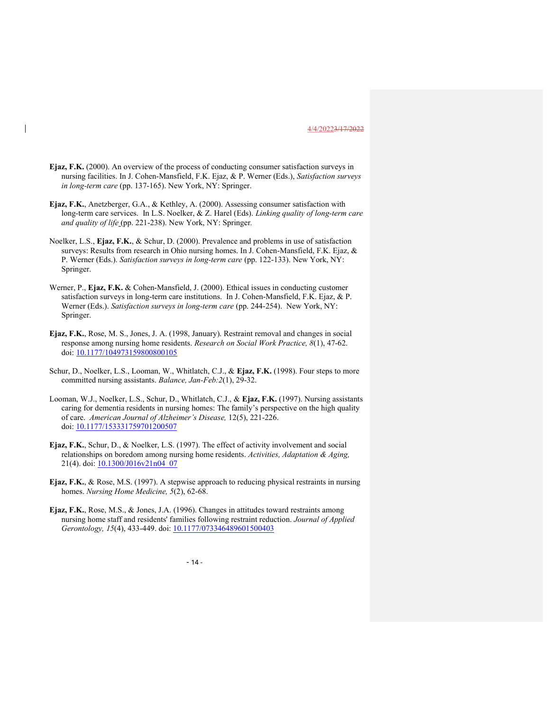- Ejaz, F.K. (2000). An overview of the process of conducting consumer satisfaction surveys in nursing facilities. In J. Cohen-Mansfield, F.K. Ejaz, & P. Werner (Eds.), Satisfaction surveys in long-term care (pp. 137-165). New York, NY: Springer.
- Ejaz, F.K., Anetzberger, G.A., & Kethley, A. (2000). Assessing consumer satisfaction with long-term care services. In L.S. Noelker, & Z. Harel (Eds). Linking quality of long-term care and quality of life (pp. 221-238). New York, NY: Springer.
- Noelker, L.S., Ejaz, F.K., & Schur, D. (2000). Prevalence and problems in use of satisfaction surveys: Results from research in Ohio nursing homes. In J. Cohen-Mansfield, F.K. Ejaz, & P. Werner (Eds.). Satisfaction surveys in long-term care (pp. 122-133). New York, NY: Springer.
- Werner, P., Ejaz, F.K. & Cohen-Mansfield, J. (2000). Ethical issues in conducting customer satisfaction surveys in long-term care institutions. In J. Cohen-Mansfield, F.K. Ejaz, & P. Werner (Eds.). Satisfaction surveys in long-term care (pp. 244-254). New York, NY: Springer.
- Ejaz, F.K., Rose, M. S., Jones, J. A. (1998, January). Restraint removal and changes in social response among nursing home residents. Research on Social Work Practice, 8(1), 47-62. doi: 10.1177/104973159800800105
- Schur, D., Noelker, L.S., Looman, W., Whitlatch, C.J., & Ejaz, F.K. (1998). Four steps to more committed nursing assistants. Balance, Jan-Feb:2(1), 29-32.
- Looman, W.J., Noelker, L.S., Schur, D., Whitlatch, C.J., & Ejaz, F.K. (1997). Nursing assistants caring for dementia residents in nursing homes: The family's perspective on the high quality of care. American Journal of Alzheimer's Disease, 12(5), 221-226. doi: 10.1177/153331759701200507
- Ejaz, F.K., Schur, D., & Noelker, L.S. (1997). The effect of activity involvement and social relationships on boredom among nursing home residents. Activities, Adaptation & Aging, 21(4). doi: **10.1300/J016v21n04\_07**
- Ejaz, F.K., & Rose, M.S. (1997). A stepwise approach to reducing physical restraints in nursing homes. Nursing Home Medicine, 5(2), 62-68.
- Ejaz, F.K., Rose, M.S., & Jones, J.A. (1996). Changes in attitudes toward restraints among nursing home staff and residents' families following restraint reduction. Journal of Applied Gerontology, 15(4), 433-449. doi: 10.1177/073346489601500403

 $-14$  -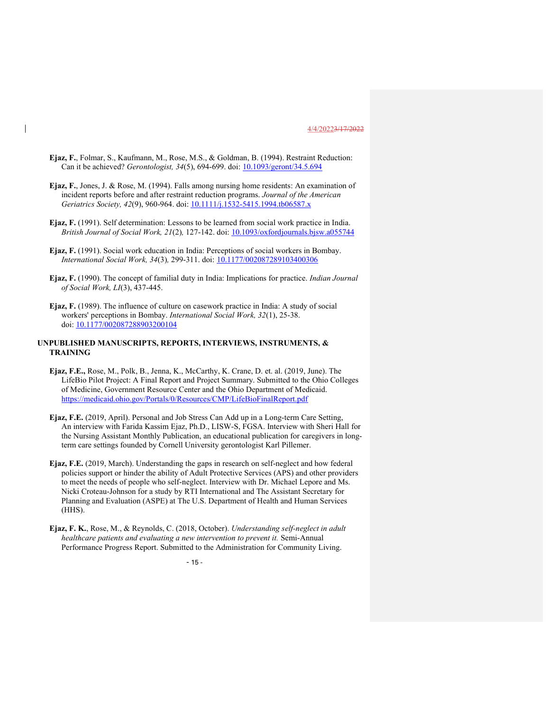- Ejaz, F., Folmar, S., Kaufmann, M., Rose, M.S., & Goldman, B. (1994). Restraint Reduction: Can it be achieved? Gerontologist, 34(5), 694-699. doi: 10.1093/geront/34.5.694
- Ejaz, F., Jones, J. & Rose, M. (1994). Falls among nursing home residents: An examination of incident reports before and after restraint reduction programs. Journal of the American Geriatrics Society, 42(9), 960-964. doi: 10.1111/j.1532-5415.1994.tb06587.x
- Ejaz, F. (1991). Self determination: Lessons to be learned from social work practice in India. British Journal of Social Work, 21(2), 127-142. doi: 10.1093/oxfordjournals.bjsw.a055744
- Ejaz, F. (1991). Social work education in India: Perceptions of social workers in Bombay. International Social Work, 34(3), 299-311. doi: 10.1177/002087289103400306
- Ejaz, F. (1990). The concept of familial duty in India: Implications for practice. Indian Journal of Social Work, LI(3), 437-445.
- Ejaz, F. (1989). The influence of culture on casework practice in India: A study of social workers' perceptions in Bombay. International Social Work, 32(1), 25-38. doi: 10.1177/002087288903200104

#### UNPUBLISHED MANUSCRIPTS, REPORTS, INTERVIEWS, INSTRUMENTS, & TRAINING

- Ejaz, F.E., Rose, M., Polk, B., Jenna, K., McCarthy, K. Crane, D. et. al. (2019, June). The LifeBio Pilot Project: A Final Report and Project Summary. Submitted to the Ohio Colleges of Medicine, Government Resource Center and the Ohio Department of Medicaid. https://medicaid.ohio.gov/Portals/0/Resources/CMP/LifeBioFinalReport.pdf
- Ejaz, F.E. (2019, April). Personal and Job Stress Can Add up in a Long-term Care Setting, An interview with Farida Kassim Ejaz, Ph.D., LISW-S, FGSA. Interview with Sheri Hall for the Nursing Assistant Monthly Publication, an educational publication for caregivers in longterm care settings founded by Cornell University gerontologist Karl Pillemer.
- Ejaz, F.E. (2019, March). Understanding the gaps in research on self-neglect and how federal policies support or hinder the ability of Adult Protective Services (APS) and other providers to meet the needs of people who self-neglect. Interview with Dr. Michael Lepore and Ms. Nicki Croteau-Johnson for a study by RTI International and The Assistant Secretary for Planning and Evaluation (ASPE) at The U.S. Department of Health and Human Services (HHS).
- Ejaz, F. K., Rose, M., & Reynolds, C. (2018, October). Understanding self-neglect in adult healthcare patients and evaluating a new intervention to prevent it. Semi-Annual Performance Progress Report. Submitted to the Administration for Community Living.

 $-15$  -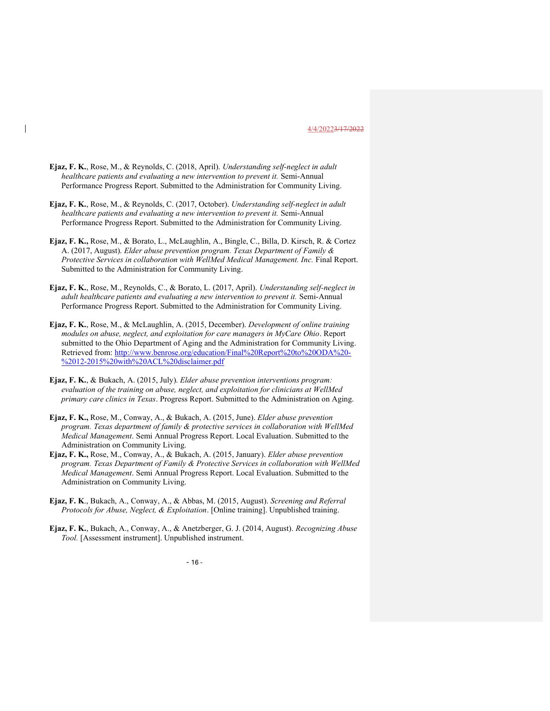- Ejaz, F. K., Rose, M., & Reynolds, C. (2018, April). Understanding self-neglect in adult healthcare patients and evaluating a new intervention to prevent it. Semi-Annual Performance Progress Report. Submitted to the Administration for Community Living.
- Ejaz, F. K., Rose, M., & Reynolds, C. (2017, October). Understanding self-neglect in adult healthcare patients and evaluating a new intervention to prevent it. Semi-Annual Performance Progress Report. Submitted to the Administration for Community Living.
- Ejaz, F. K., Rose, M., & Borato, L., McLaughlin, A., Bingle, C., Billa, D. Kirsch, R. & Cortez A. (2017, August). Elder abuse prevention program. Texas Department of Family & Protective Services in collaboration with WellMed Medical Management. Inc. Final Report. Submitted to the Administration for Community Living.
- Ejaz, F. K., Rose, M., Reynolds, C., & Borato, L. (2017, April). Understanding self-neglect in adult healthcare patients and evaluating a new intervention to prevent it. Semi-Annual Performance Progress Report. Submitted to the Administration for Community Living.
- Ejaz, F. K., Rose, M., & McLaughlin, A. (2015, December). Development of online training modules on abuse, neglect, and exploitation for care managers in MyCare Ohio. Report submitted to the Ohio Department of Aging and the Administration for Community Living. Retrieved from: http://www.benrose.org/education/Final%20Report%20to%20ODA%20- %2012-2015%20with%20ACL%20disclaimer.pdf
- Ejaz, F. K., & Bukach, A. (2015, July). Elder abuse prevention interventions program: evaluation of the training on abuse, neglect, and exploitation for clinicians at WellMed primary care clinics in Texas. Progress Report. Submitted to the Administration on Aging.
- Ejaz, F. K., Rose, M., Conway, A., & Bukach, A. (2015, June). Elder abuse prevention program. Texas department of family & protective services in collaboration with WellMed Medical Management. Semi Annual Progress Report. Local Evaluation. Submitted to the Administration on Community Living.
- Ejaz, F. K., Rose, M., Conway, A., & Bukach, A. (2015, January). Elder abuse prevention program. Texas Department of Family & Protective Services in collaboration with WellMed Medical Management. Semi Annual Progress Report. Local Evaluation. Submitted to the Administration on Community Living.
- Ejaz, F. K., Bukach, A., Conway, A., & Abbas, M. (2015, August). Screening and Referral Protocols for Abuse, Neglect, & Exploitation. [Online training]. Unpublished training.
- Ejaz, F. K., Bukach, A., Conway, A., & Anetzberger, G. J. (2014, August). Recognizing Abuse Tool. [Assessment instrument]. Unpublished instrument.

 $-16$  -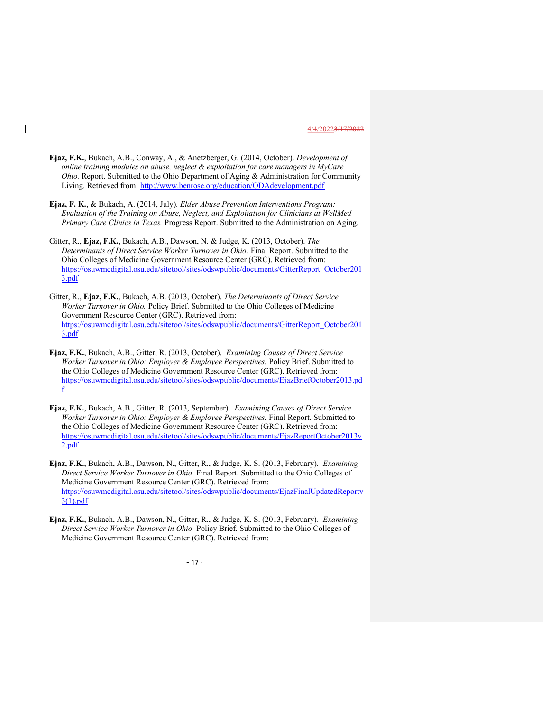Ejaz, F.K., Bukach, A.B., Conway, A., & Anetzberger, G. (2014, October). Development of online training modules on abuse, neglect & exploitation for care managers in MyCare Ohio. Report. Submitted to the Ohio Department of Aging & Administration for Community Living. Retrieved from: http://www.benrose.org/education/ODAdevelopment.pdf

 $\overline{\phantom{a}}$ 

- Ejaz, F. K., & Bukach, A. (2014, July). Elder Abuse Prevention Interventions Program: Evaluation of the Training on Abuse, Neglect, and Exploitation for Clinicians at WellMed Primary Care Clinics in Texas. Progress Report. Submitted to the Administration on Aging.
- Gitter, R., Ejaz, F.K., Bukach, A.B., Dawson, N. & Judge, K. (2013, October). The Determinants of Direct Service Worker Turnover in Ohio. Final Report. Submitted to the Ohio Colleges of Medicine Government Resource Center (GRC). Retrieved from: https://osuwmcdigital.osu.edu/sitetool/sites/odswpublic/documents/GitterReport\_October201 3.pdf
- Gitter, R., Ejaz, F.K., Bukach, A.B. (2013, October). The Determinants of Direct Service Worker Turnover in Ohio. Policy Brief. Submitted to the Ohio Colleges of Medicine Government Resource Center (GRC). Retrieved from: https://osuwmcdigital.osu.edu/sitetool/sites/odswpublic/documents/GitterReport\_October201 3.pdf
- Ejaz, F.K., Bukach, A.B., Gitter, R. (2013, October). Examining Causes of Direct Service Worker Turnover in Ohio: Employer & Employee Perspectives. Policy Brief. Submitted to the Ohio Colleges of Medicine Government Resource Center (GRC). Retrieved from: https://osuwmcdigital.osu.edu/sitetool/sites/odswpublic/documents/EjazBriefOctober2013.pd f
- Ejaz, F.K., Bukach, A.B., Gitter, R. (2013, September). Examining Causes of Direct Service Worker Turnover in Ohio: Employer & Employee Perspectives. Final Report. Submitted to the Ohio Colleges of Medicine Government Resource Center (GRC). Retrieved from: https://osuwmcdigital.osu.edu/sitetool/sites/odswpublic/documents/EjazReportOctober2013v 2.pdf
- Ejaz, F.K., Bukach, A.B., Dawson, N., Gitter, R., & Judge, K. S. (2013, February). Examining Direct Service Worker Turnover in Ohio. Final Report. Submitted to the Ohio Colleges of Medicine Government Resource Center (GRC). Retrieved from: https://osuwmcdigital.osu.edu/sitetool/sites/odswpublic/documents/EjazFinalUpdatedReportv 3(1).pdf
- Ejaz, F.K., Bukach, A.B., Dawson, N., Gitter, R., & Judge, K. S. (2013, February). Examining Direct Service Worker Turnover in Ohio. Policy Brief. Submitted to the Ohio Colleges of Medicine Government Resource Center (GRC). Retrieved from:

 $- 17 -$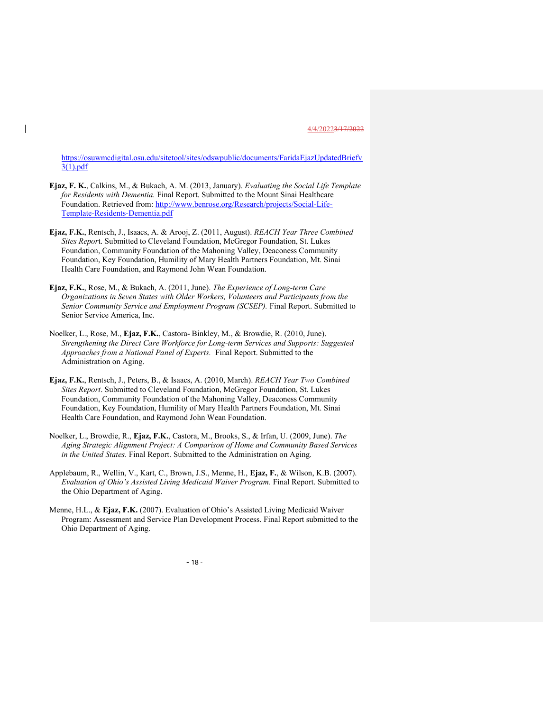https://osuwmcdigital.osu.edu/sitetool/sites/odswpublic/documents/FaridaEjazUpdatedBriefv 3(1).pdf

- Ejaz, F. K., Calkins, M., & Bukach, A. M. (2013, January). Evaluating the Social Life Template for Residents with Dementia. Final Report. Submitted to the Mount Sinai Healthcare Foundation. Retrieved from: http://www.benrose.org/Research/projects/Social-Life-Template-Residents-Dementia.pdf
- Ejaz, F.K., Rentsch, J., Isaacs, A. & Arooj, Z. (2011, August). REACH Year Three Combined Sites Report. Submitted to Cleveland Foundation, McGregor Foundation, St. Lukes Foundation, Community Foundation of the Mahoning Valley, Deaconess Community Foundation, Key Foundation, Humility of Mary Health Partners Foundation, Mt. Sinai Health Care Foundation, and Raymond John Wean Foundation.
- Ejaz, F.K., Rose, M., & Bukach, A. (2011, June). The Experience of Long-term Care Organizations in Seven States with Older Workers, Volunteers and Participants from the Senior Community Service and Employment Program (SCSEP). Final Report. Submitted to Senior Service America, Inc.
- Noelker, L., Rose, M., Ejaz, F.K., Castora- Binkley, M., & Browdie, R. (2010, June). Strengthening the Direct Care Workforce for Long-term Services and Supports: Suggested Approaches from a National Panel of Experts. Final Report. Submitted to the Administration on Aging.
- Ejaz, F.K., Rentsch, J., Peters, B., & Isaacs, A. (2010, March). REACH Year Two Combined Sites Report. Submitted to Cleveland Foundation, McGregor Foundation, St. Lukes Foundation, Community Foundation of the Mahoning Valley, Deaconess Community Foundation, Key Foundation, Humility of Mary Health Partners Foundation, Mt. Sinai Health Care Foundation, and Raymond John Wean Foundation.
- Noelker, L., Browdie, R., Ejaz, F.K., Castora, M., Brooks, S., & Irfan, U. (2009, June). The Aging Strategic Alignment Project: A Comparison of Home and Community Based Services in the United States. Final Report. Submitted to the Administration on Aging.
- Applebaum, R., Wellin, V., Kart, C., Brown, J.S., Menne, H., Ejaz, F., & Wilson, K.B. (2007). Evaluation of Ohio's Assisted Living Medicaid Waiver Program. Final Report. Submitted to the Ohio Department of Aging.
- Menne, H.L., & Ejaz, F.K. (2007). Evaluation of Ohio's Assisted Living Medicaid Waiver Program: Assessment and Service Plan Development Process. Final Report submitted to the Ohio Department of Aging.

 $- 18 -$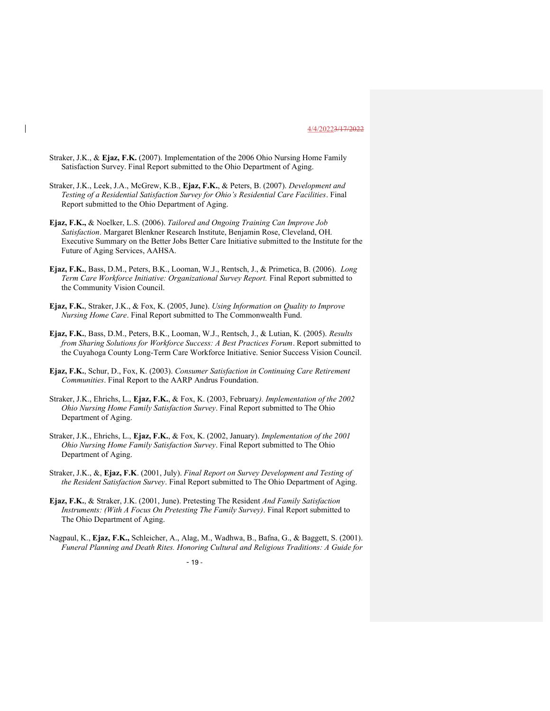- Straker, J.K., & Ejaz, F.K. (2007). Implementation of the 2006 Ohio Nursing Home Family Satisfaction Survey. Final Report submitted to the Ohio Department of Aging.
- Straker, J.K., Leek, J.A., McGrew, K.B., Ejaz, F.K., & Peters, B. (2007). Development and Testing of a Residential Satisfaction Survey for Ohio's Residential Care Facilities. Final Report submitted to the Ohio Department of Aging.
- Ejaz, F.K., & Noelker, L.S. (2006). Tailored and Ongoing Training Can Improve Job Satisfaction. Margaret Blenkner Research Institute, Benjamin Rose, Cleveland, OH. Executive Summary on the Better Jobs Better Care Initiative submitted to the Institute for the Future of Aging Services, AAHSA.
- Ejaz, F.K., Bass, D.M., Peters, B.K., Looman, W.J., Rentsch, J., & Primetica, B. (2006). Long Term Care Workforce Initiative: Organizational Survey Report. Final Report submitted to the Community Vision Council.
- Ejaz, F.K., Straker, J.K., & Fox, K. (2005, June). Using Information on Quality to Improve Nursing Home Care. Final Report submitted to The Commonwealth Fund.
- Ejaz, F.K., Bass, D.M., Peters, B.K., Looman, W.J., Rentsch, J., & Lutian, K. (2005). Results from Sharing Solutions for Workforce Success: A Best Practices Forum. Report submitted to the Cuyahoga County Long-Term Care Workforce Initiative. Senior Success Vision Council.
- Ejaz, F.K., Schur, D., Fox, K. (2003). Consumer Satisfaction in Continuing Care Retirement Communities. Final Report to the AARP Andrus Foundation.
- Straker, J.K., Ehrichs, L., Ejaz, F.K., & Fox, K. (2003, February). Implementation of the 2002 Ohio Nursing Home Family Satisfaction Survey. Final Report submitted to The Ohio Department of Aging.
- Straker, J.K., Ehrichs, L., Ejaz, F.K., & Fox, K. (2002, January). Implementation of the 2001 Ohio Nursing Home Family Satisfaction Survey. Final Report submitted to The Ohio Department of Aging.
- Straker, J.K., &, Ejaz, F.K. (2001, July). Final Report on Survey Development and Testing of the Resident Satisfaction Survey. Final Report submitted to The Ohio Department of Aging.
- Ejaz, F.K., & Straker, J.K. (2001, June). Pretesting The Resident And Family Satisfaction Instruments: (With A Focus On Pretesting The Family Survey). Final Report submitted to The Ohio Department of Aging.
- Nagpaul, K., Ejaz, F.K., Schleicher, A., Alag, M., Wadhwa, B., Bafna, G., & Baggett, S. (2001). Funeral Planning and Death Rites. Honoring Cultural and Religious Traditions: A Guide for

 $- 19 -$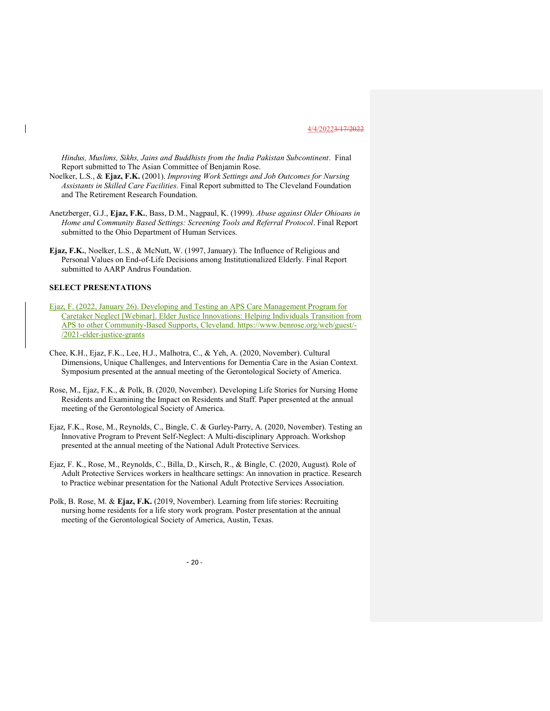Hindus, Muslims, Sikhs, Jains and Buddhists from the India Pakistan Subcontinent. Final Report submitted to The Asian Committee of Benjamin Rose.

- Noelker, L.S., & Ejaz, F.K. (2001). Improving Work Settings and Job Outcomes for Nursing Assistants in Skilled Care Facilities. Final Report submitted to The Cleveland Foundation and The Retirement Research Foundation.
- Anetzberger, G.J., Ejaz, F.K., Bass, D.M., Nagpaul, K. (1999). Abuse against Older Ohioans in Home and Community Based Settings: Screening Tools and Referral Protocol. Final Report submitted to the Ohio Department of Human Services.
- Ejaz, F.K., Noelker, L.S., & McNutt, W. (1997, January). The Influence of Religious and Personal Values on End-of-Life Decisions among Institutionalized Elderly. Final Report submitted to AARP Andrus Foundation.

# SELECT PRESENTATIONS

- Ejaz, F. (2022, January 26). Developing and Testing an APS Care Management Program for Caretaker Neglect [Webinar]. Elder Justice Innovations: Helping Individuals Transition from APS to other Community-Based Supports, Cleveland. https://www.benrose.org/web/guest/- /2021-elder-justice-grants
- Chee, K.H., Ejaz, F.K., Lee, H.J., Malhotra, C., & Yeh, A. (2020, November). Cultural Dimensions, Unique Challenges, and Interventions for Dementia Care in the Asian Context. Symposium presented at the annual meeting of the Gerontological Society of America.
- Rose, M., Ejaz, F.K., & Polk, B. (2020, November). Developing Life Stories for Nursing Home Residents and Examining the Impact on Residents and Staff. Paper presented at the annual meeting of the Gerontological Society of America.
- Ejaz, F.K., Rose, M., Reynolds, C., Bingle, C. & Gurley-Parry, A. (2020, November). Testing an Innovative Program to Prevent Self-Neglect: A Multi-disciplinary Approach. Workshop presented at the annual meeting of the National Adult Protective Services.
- Ejaz, F. K., Rose, M., Reynolds, C., Billa, D., Kirsch, R., & Bingle, C. (2020, August). Role of Adult Protective Services workers in healthcare settings: An innovation in practice. Research to Practice webinar presentation for the National Adult Protective Services Association.
- Polk, B. Rose, M. & Ejaz, F.K. (2019, November). Learning from life stories: Recruiting nursing home residents for a life story work program. Poster presentation at the annual meeting of the Gerontological Society of America, Austin, Texas.

 $- 20 -$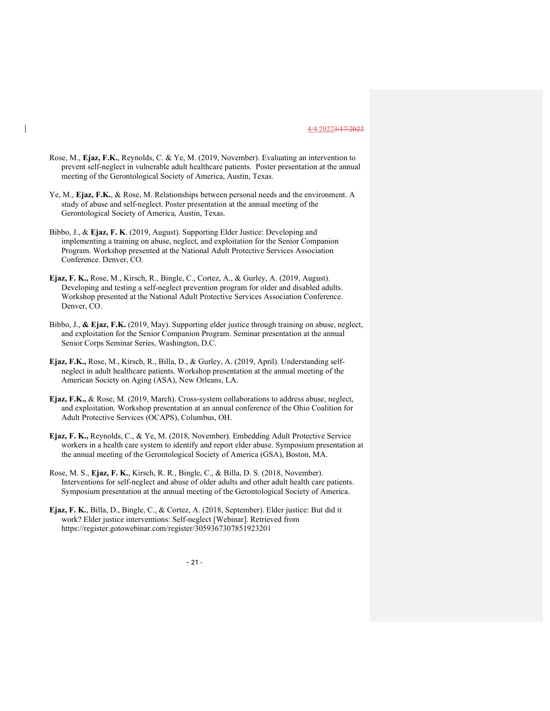- Rose, M., Ejaz, F.K., Reynolds, C. & Ye, M. (2019, November). Evaluating an intervention to prevent self-neglect in vulnerable adult healthcare patients. Poster presentation at the annual meeting of the Gerontological Society of America, Austin, Texas.
- Ye, M., Ejaz, F.K., & Rose, M. Relationships between personal needs and the environment. A study of abuse and self-neglect. Poster presentation at the annual meeting of the Gerontological Society of America, Austin, Texas.
- Bibbo, J., & Ejaz, F. K. (2019, August). Supporting Elder Justice: Developing and implementing a training on abuse, neglect, and exploitation for the Senior Companion Program. Workshop presented at the National Adult Protective Services Association Conference. Denver, CO.
- Ejaz, F. K., Rose, M., Kirsch, R., Bingle, C., Cortez, A., & Gurley, A. (2019, August). Developing and testing a self-neglect prevention program for older and disabled adults. Workshop presented at the National Adult Protective Services Association Conference. Denver, CO.
- Bibbo, J., & Ejaz, F.K. (2019, May). Supporting elder justice through training on abuse, neglect, and exploitation for the Senior Companion Program. Seminar presentation at the annual Senior Corps Seminar Series, Washington, D.C.
- Ejaz, F.K., Rose, M., Kirsch, R., Billa, D., & Gurley, A. (2019, April). Understanding selfneglect in adult healthcare patients. Workshop presentation at the annual meeting of the American Society on Aging (ASA), New Orleans, LA.
- Ejaz, F.K., & Rose, M. (2019, March). Cross-system collaborations to address abuse, neglect, and exploitation. Workshop presentation at an annual conference of the Ohio Coalition for Adult Protective Services (OCAPS), Columbus, OH.
- Ejaz, F. K., Reynolds, C., & Ye, M. (2018, November). Embedding Adult Protective Service workers in a health care system to identify and report elder abuse. Symposium presentation at the annual meeting of the Gerontological Society of America (GSA), Boston, MA.
- Rose, M. S., Ejaz, F. K., Kirsch, R. R., Bingle, C., & Billa, D. S. (2018, November). Interventions for self-neglect and abuse of older adults and other adult health care patients. Symposium presentation at the annual meeting of the Gerontological Society of America.
- Ejaz, F. K., Billa, D., Bingle, C., & Cortez, A. (2018, September). Elder justice: But did it work? Elder justice interventions: Self-neglect [Webinar]. Retrieved from https://register.gotowebinar.com/register/3059367307851923201

 $- 21 -$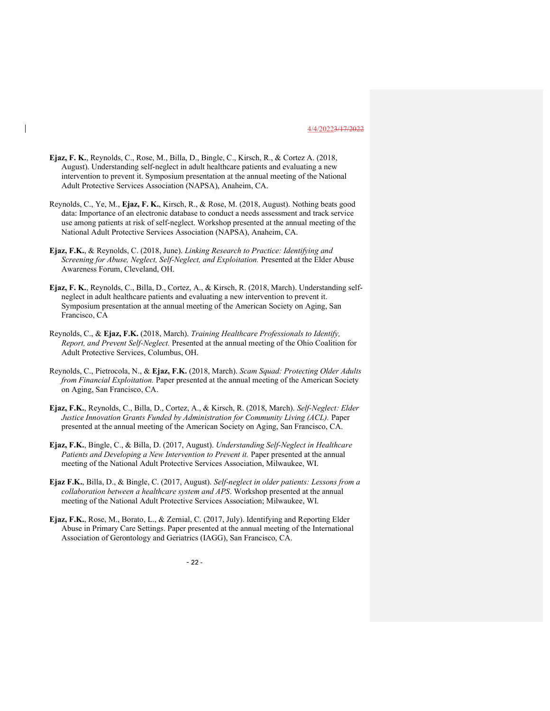- Ejaz, F. K., Reynolds, C., Rose, M., Billa, D., Bingle, C., Kirsch, R., & Cortez A. (2018, August). Understanding self-neglect in adult healthcare patients and evaluating a new intervention to prevent it. Symposium presentation at the annual meeting of the National Adult Protective Services Association (NAPSA), Anaheim, CA.
- Reynolds, C., Ye, M., Ejaz, F. K., Kirsch, R., & Rose, M. (2018, August). Nothing beats good data: Importance of an electronic database to conduct a needs assessment and track service use among patients at risk of self-neglect. Workshop presented at the annual meeting of the National Adult Protective Services Association (NAPSA), Anaheim, CA.
- Ejaz, F.K., & Reynolds, C. (2018, June). Linking Research to Practice: Identifying and Screening for Abuse, Neglect, Self-Neglect, and Exploitation. Presented at the Elder Abuse Awareness Forum, Cleveland, OH.
- Ejaz, F. K., Reynolds, C., Billa, D., Cortez, A., & Kirsch, R. (2018, March). Understanding selfneglect in adult healthcare patients and evaluating a new intervention to prevent it. Symposium presentation at the annual meeting of the American Society on Aging, San Francisco, CA
- Reynolds, C., & Ejaz, F.K. (2018, March). Training Healthcare Professionals to Identify, Report, and Prevent Self-Neglect. Presented at the annual meeting of the Ohio Coalition for Adult Protective Services, Columbus, OH.
- Reynolds, C., Pietrocola, N., & Ejaz, F.K. (2018, March). Scam Squad: Protecting Older Adults from Financial Exploitation. Paper presented at the annual meeting of the American Society on Aging, San Francisco, CA.
- Ejaz, F.K., Reynolds, C., Billa, D., Cortez, A., & Kirsch, R. (2018, March). Self-Neglect: Elder Justice Innovation Grants Funded by Administration for Community Living (ACL). Paper presented at the annual meeting of the American Society on Aging, San Francisco, CA.
- Ejaz, F.K., Bingle, C., & Billa, D. (2017, August). Understanding Self-Neglect in Healthcare Patients and Developing a New Intervention to Prevent it. Paper presented at the annual meeting of the National Adult Protective Services Association, Milwaukee, WI.
- Ejaz F.K., Billa, D., & Bingle, C. (2017, August). Self-neglect in older patients: Lessons from a collaboration between a healthcare system and APS. Workshop presented at the annual meeting of the National Adult Protective Services Association; Milwaukee, WI.
- Ejaz, F.K., Rose, M., Borato, L., & Zernial, C. (2017, July). Identifying and Reporting Elder Abuse in Primary Care Settings. Paper presented at the annual meeting of the International Association of Gerontology and Geriatrics (IAGG), San Francisco, CA.

 $- 22 -$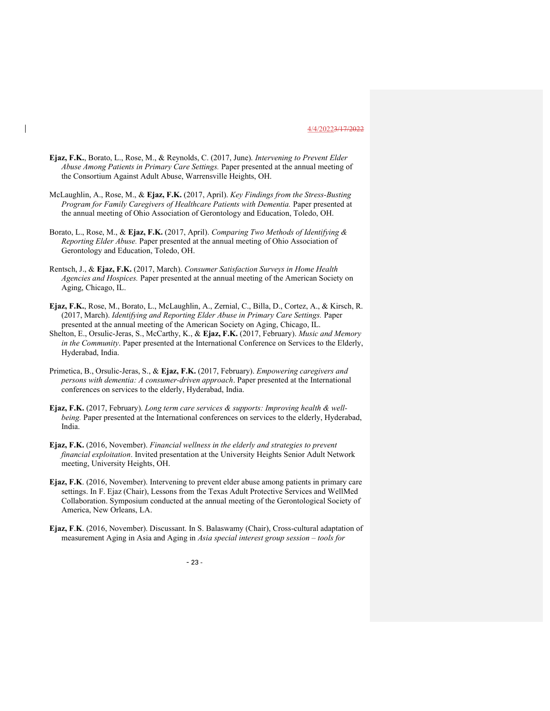- Ejaz, F.K., Borato, L., Rose, M., & Reynolds, C. (2017, June). Intervening to Prevent Elder Abuse Among Patients in Primary Care Settings. Paper presented at the annual meeting of the Consortium Against Adult Abuse, Warrensville Heights, OH.
- McLaughlin, A., Rose, M., & Ejaz, F.K. (2017, April). Key Findings from the Stress-Busting Program for Family Caregivers of Healthcare Patients with Dementia. Paper presented at the annual meeting of Ohio Association of Gerontology and Education, Toledo, OH.
- Borato, L., Rose, M., & Ejaz, F.K. (2017, April). Comparing Two Methods of Identifying & Reporting Elder Abuse. Paper presented at the annual meeting of Ohio Association of Gerontology and Education, Toledo, OH.
- Rentsch, J., & Ejaz, F.K. (2017, March). Consumer Satisfaction Surveys in Home Health Agencies and Hospices. Paper presented at the annual meeting of the American Society on Aging, Chicago, IL.
- Ejaz, F.K., Rose, M., Borato, L., McLaughlin, A., Zernial, C., Billa, D., Cortez, A., & Kirsch, R. (2017, March). Identifying and Reporting Elder Abuse in Primary Care Settings. Paper presented at the annual meeting of the American Society on Aging, Chicago, IL.
- Shelton, E., Orsulic-Jeras, S., McCarthy, K., & Ejaz, F.K. (2017, February). Music and Memory in the Community. Paper presented at the International Conference on Services to the Elderly, Hyderabad, India.
- Primetica, B., Orsulic-Jeras, S., & Ejaz, F.K. (2017, February). Empowering caregivers and persons with dementia: A consumer-driven approach. Paper presented at the International conferences on services to the elderly, Hyderabad, India.
- Ejaz, F.K. (2017, February). Long term care services  $\&$  supports: Improving health  $\&$  wellbeing. Paper presented at the International conferences on services to the elderly, Hyderabad, India.
- Ejaz, F.K. (2016, November). Financial wellness in the elderly and strategies to prevent financial exploitation. Invited presentation at the University Heights Senior Adult Network meeting, University Heights, OH.
- Ejaz, F.K. (2016, November). Intervening to prevent elder abuse among patients in primary care settings. In F. Ejaz (Chair), Lessons from the Texas Adult Protective Services and WellMed Collaboration. Symposium conducted at the annual meeting of the Gerontological Society of America, New Orleans, LA.
- Ejaz, F.K. (2016, November). Discussant. In S. Balaswamy (Chair), Cross-cultural adaptation of measurement Aging in Asia and Aging in Asia special interest group session – tools for

- 23 -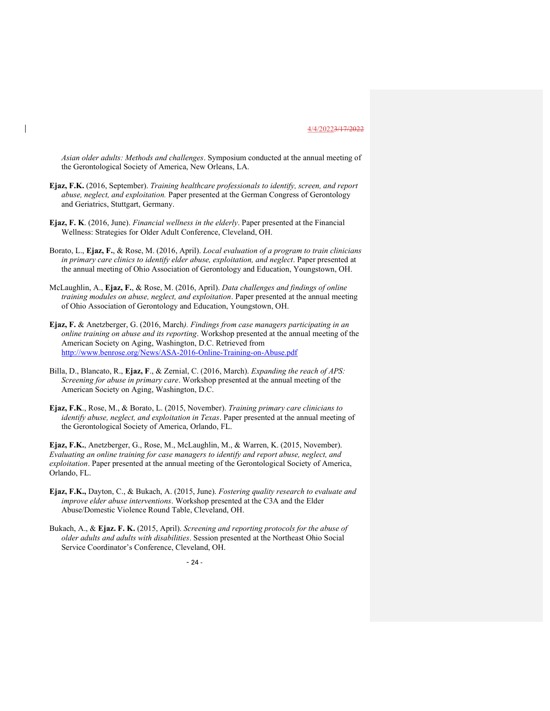Asian older adults: Methods and challenges. Symposium conducted at the annual meeting of the Gerontological Society of America, New Orleans, LA.

- Ejaz, F.K. (2016, September). Training healthcare professionals to identify, screen, and report abuse, neglect, and exploitation. Paper presented at the German Congress of Gerontology and Geriatrics, Stuttgart, Germany.
- Ejaz, F. K. (2016, June). Financial wellness in the elderly. Paper presented at the Financial Wellness: Strategies for Older Adult Conference, Cleveland, OH.
- Borato, L., Ejaz, F., & Rose, M. (2016, April). Local evaluation of a program to train clinicians in primary care clinics to identify elder abuse, exploitation, and neglect. Paper presented at the annual meeting of Ohio Association of Gerontology and Education, Youngstown, OH.
- McLaughlin, A., Ejaz, F., & Rose, M. (2016, April). Data challenges and findings of online training modules on abuse, neglect, and exploitation. Paper presented at the annual meeting of Ohio Association of Gerontology and Education, Youngstown, OH.
- Ejaz, F. & Anetzberger, G. (2016, March). Findings from case managers participating in an online training on abuse and its reporting. Workshop presented at the annual meeting of the American Society on Aging, Washington, D.C. Retrieved from http://www.benrose.org/News/ASA-2016-Online-Training-on-Abuse.pdf
- Billa, D., Blancato, R., Ejaz, F., & Zernial, C. (2016, March). Expanding the reach of APS: Screening for abuse in primary care. Workshop presented at the annual meeting of the American Society on Aging, Washington, D.C.
- Ejaz, F.K., Rose, M., & Borato, L. (2015, November). Training primary care clinicians to identify abuse, neglect, and exploitation in Texas. Paper presented at the annual meeting of the Gerontological Society of America, Orlando, FL.

Ejaz, F.K., Anetzberger, G., Rose, M., McLaughlin, M., & Warren, K. (2015, November). Evaluating an online training for case managers to identify and report abuse, neglect, and exploitation. Paper presented at the annual meeting of the Gerontological Society of America, Orlando, FL.

- Ejaz, F.K., Dayton, C., & Bukach, A. (2015, June). Fostering quality research to evaluate and improve elder abuse interventions. Workshop presented at the C3A and the Elder Abuse/Domestic Violence Round Table, Cleveland, OH.
- Bukach, A., & Ejaz. F. K. (2015, April). Screening and reporting protocols for the abuse of older adults and adults with disabilities. Session presented at the Northeast Ohio Social Service Coordinator's Conference, Cleveland, OH.

- 24 -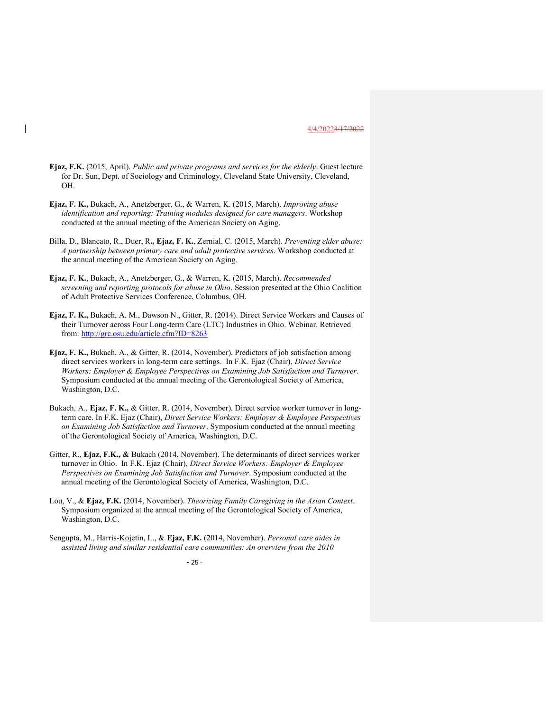- Ejaz, F.K. (2015, April). Public and private programs and services for the elderly. Guest lecture for Dr. Sun, Dept. of Sociology and Criminology, Cleveland State University, Cleveland, OH.
- Ejaz, F. K., Bukach, A., Anetzberger, G., & Warren, K. (2015, March). Improving abuse identification and reporting: Training modules designed for care managers. Workshop conducted at the annual meeting of the American Society on Aging.
- Billa, D., Blancato, R., Duer, R., Ejaz, F. K., Zernial, C. (2015, March). Preventing elder abuse: A partnership between primary care and adult protective services. Workshop conducted at the annual meeting of the American Society on Aging.
- Ejaz, F. K., Bukach, A., Anetzberger, G., & Warren, K. (2015, March). Recommended screening and reporting protocols for abuse in Ohio. Session presented at the Ohio Coalition of Adult Protective Services Conference, Columbus, OH.
- Ejaz, F. K., Bukach, A. M., Dawson N., Gitter, R. (2014). Direct Service Workers and Causes of their Turnover across Four Long-term Care (LTC) Industries in Ohio. Webinar. Retrieved from: http://grc.osu.edu/article.cfm?ID=8263
- Ejaz, F. K., Bukach, A., & Gitter, R. (2014, November). Predictors of job satisfaction among direct services workers in long-term care settings. In F.K. Ejaz (Chair), Direct Service Workers: Employer & Employee Perspectives on Examining Job Satisfaction and Turnover. Symposium conducted at the annual meeting of the Gerontological Society of America, Washington, D.C.
- Bukach, A., Ejaz, F. K., & Gitter, R. (2014, November). Direct service worker turnover in longterm care. In F.K. Ejaz (Chair), Direct Service Workers: Employer & Employee Perspectives on Examining Job Satisfaction and Turnover. Symposium conducted at the annual meeting of the Gerontological Society of America, Washington, D.C.
- Gitter, R., Ejaz, F.K., & Bukach (2014, November). The determinants of direct services worker turnover in Ohio. In F.K. Ejaz (Chair), Direct Service Workers: Employer & Employee Perspectives on Examining Job Satisfaction and Turnover. Symposium conducted at the annual meeting of the Gerontological Society of America, Washington, D.C.
- Lou, V., & Ejaz, F.K. (2014, November). Theorizing Family Caregiving in the Asian Context. Symposium organized at the annual meeting of the Gerontological Society of America, Washington, D.C.
- Sengupta, M., Harris-Kojetin, L., & Ejaz, F.K. (2014, November). Personal care aides in assisted living and similar residential care communities: An overview from the 2010

 $- 25 -$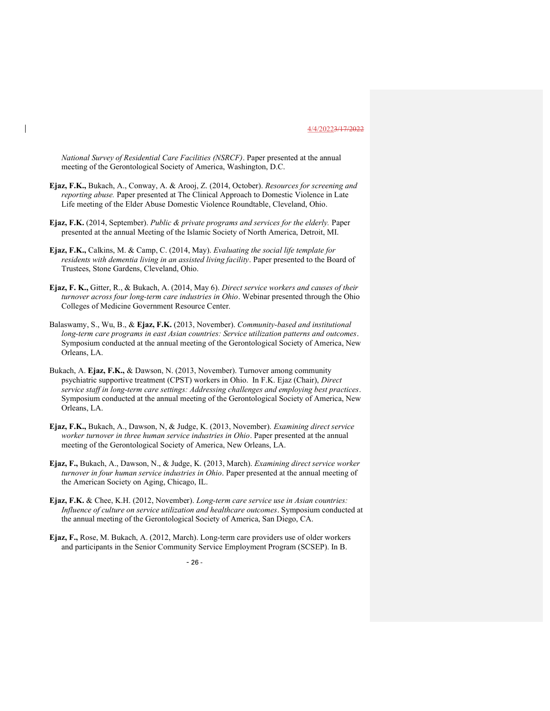National Survey of Residential Care Facilities (NSRCF). Paper presented at the annual meeting of the Gerontological Society of America, Washington, D.C.

- Ejaz, F.K., Bukach, A., Conway, A. & Arooj, Z. (2014, October). Resources for screening and reporting abuse. Paper presented at The Clinical Approach to Domestic Violence in Late Life meeting of the Elder Abuse Domestic Violence Roundtable, Cleveland, Ohio.
- Ejaz, F.K. (2014, September). Public & private programs and services for the elderly. Paper presented at the annual Meeting of the Islamic Society of North America, Detroit, MI.
- Ejaz, F.K., Calkins, M. & Camp, C. (2014, May). Evaluating the social life template for residents with dementia living in an assisted living facility. Paper presented to the Board of Trustees, Stone Gardens, Cleveland, Ohio.
- Ejaz, F. K., Gitter, R., & Bukach, A. (2014, May 6). Direct service workers and causes of their turnover across four long-term care industries in Ohio. Webinar presented through the Ohio Colleges of Medicine Government Resource Center.
- Balaswamy, S., Wu, B., & Ejaz, F.K. (2013, November). Community-based and institutional long-term care programs in east Asian countries: Service utilization patterns and outcomes. Symposium conducted at the annual meeting of the Gerontological Society of America, New Orleans, LA.
- Bukach, A. Ejaz, F.K., & Dawson, N. (2013, November). Turnover among community psychiatric supportive treatment (CPST) workers in Ohio. In F.K. Ejaz (Chair), Direct service staff in long-term care settings: Addressing challenges and employing best practices. Symposium conducted at the annual meeting of the Gerontological Society of America, New Orleans, LA.
- Ejaz, F.K., Bukach, A., Dawson, N, & Judge, K. (2013, November). Examining direct service worker turnover in three human service industries in Ohio. Paper presented at the annual meeting of the Gerontological Society of America, New Orleans, LA.
- Ejaz, F., Bukach, A., Dawson, N., & Judge, K. (2013, March). Examining direct service worker turnover in four human service industries in Ohio. Paper presented at the annual meeting of the American Society on Aging, Chicago, IL.
- Ejaz, F.K. & Chee, K.H. (2012, November). Long-term care service use in Asian countries: Influence of culture on service utilization and healthcare outcomes. Symposium conducted at the annual meeting of the Gerontological Society of America, San Diego, CA.
- Ejaz, F., Rose, M. Bukach, A. (2012, March). Long-term care providers use of older workers and participants in the Senior Community Service Employment Program (SCSEP). In B.

 $- 26 -$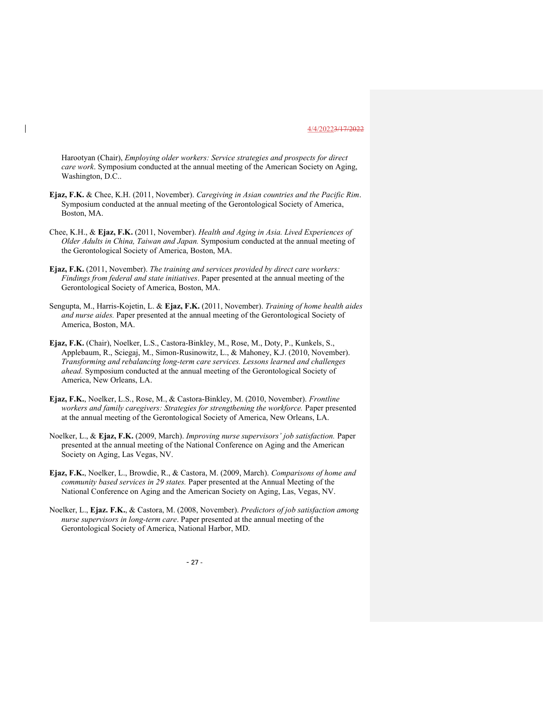Harootyan (Chair), Employing older workers: Service strategies and prospects for direct care work. Symposium conducted at the annual meeting of the American Society on Aging, Washington, D.C..

Ejaz, F.K. & Chee, K.H. (2011, November). Caregiving in Asian countries and the Pacific Rim. Symposium conducted at the annual meeting of the Gerontological Society of America, Boston, MA.

Chee, K.H., & Ejaz, F.K. (2011, November). Health and Aging in Asia. Lived Experiences of Older Adults in China, Taiwan and Japan. Symposium conducted at the annual meeting of the Gerontological Society of America, Boston, MA.

Ejaz, F.K. (2011, November). The training and services provided by direct care workers: Findings from federal and state initiatives. Paper presented at the annual meeting of the Gerontological Society of America, Boston, MA.

Sengupta, M., Harris-Kojetin, L. & Ejaz, F.K. (2011, November). Training of home health aides and nurse aides. Paper presented at the annual meeting of the Gerontological Society of America, Boston, MA.

Ejaz, F.K. (Chair), Noelker, L.S., Castora-Binkley, M., Rose, M., Doty, P., Kunkels, S., Applebaum, R., Sciegaj, M., Simon-Rusinowitz, L., & Mahoney, K.J. (2010, November). Transforming and rebalancing long-term care services. Lessons learned and challenges ahead. Symposium conducted at the annual meeting of the Gerontological Society of America, New Orleans, LA.

Ejaz, F.K., Noelker, L.S., Rose, M., & Castora-Binkley, M. (2010, November). Frontline workers and family caregivers: Strategies for strengthening the workforce. Paper presented at the annual meeting of the Gerontological Society of America, New Orleans, LA.

Noelker, L., & Ejaz, F.K. (2009, March). *Improving nurse supervisors' job satisfaction*. Paper presented at the annual meeting of the National Conference on Aging and the American Society on Aging, Las Vegas, NV.

Ejaz, F.K., Noelker, L., Browdie, R., & Castora, M. (2009, March). Comparisons of home and community based services in 29 states. Paper presented at the Annual Meeting of the National Conference on Aging and the American Society on Aging, Las, Vegas, NV.

Noelker, L., Ejaz. F.K., & Castora, M. (2008, November). Predictors of job satisfaction among nurse supervisors in long-term care. Paper presented at the annual meeting of the Gerontological Society of America, National Harbor, MD.

- 27 -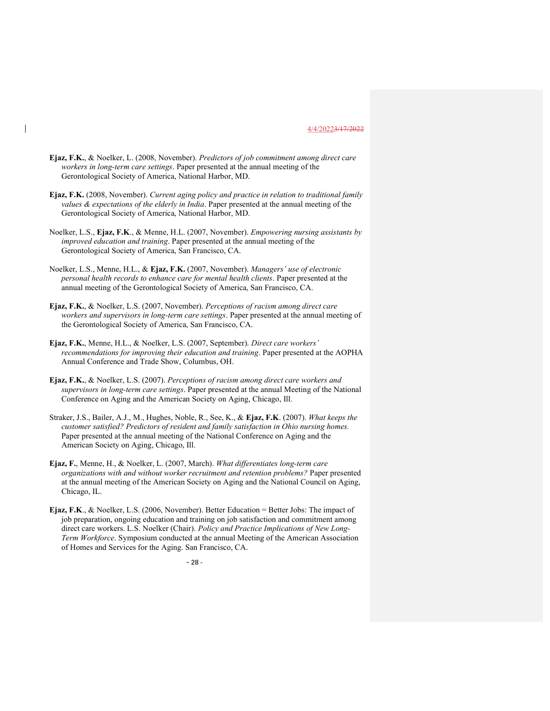- Ejaz, F.K., & Noelker, L. (2008, November). Predictors of job commitment among direct care workers in long-term care settings. Paper presented at the annual meeting of the Gerontological Society of America, National Harbor, MD.
- Ejaz, F.K. (2008, November). Current aging policy and practice in relation to traditional family values  $\&$  expectations of the elderly in India. Paper presented at the annual meeting of the Gerontological Society of America, National Harbor, MD.
- Noelker, L.S., Ejaz, F.K., & Menne, H.L. (2007, November). Empowering nursing assistants by improved education and training. Paper presented at the annual meeting of the Gerontological Society of America, San Francisco, CA.
- Noelker, L.S., Menne, H.L., & Ejaz, F.K. (2007, November). Managers' use of electronic personal health records to enhance care for mental health clients. Paper presented at the annual meeting of the Gerontological Society of America, San Francisco, CA.
- Ejaz, F.K., & Noelker, L.S. (2007, November). Perceptions of racism among direct care workers and supervisors in long-term care settings. Paper presented at the annual meeting of the Gerontological Society of America, San Francisco, CA.
- Ejaz, F.K., Menne, H.L., & Noelker, L.S. (2007, September). Direct care workers' recommendations for improving their education and training. Paper presented at the AOPHA Annual Conference and Trade Show, Columbus, OH.
- Ejaz, F.K., & Noelker, L.S. (2007). Perceptions of racism among direct care workers and supervisors in long-term care settings. Paper presented at the annual Meeting of the National Conference on Aging and the American Society on Aging, Chicago, Ill.
- Straker, J.S., Bailer, A.J., M., Hughes, Noble, R., See, K., & Ejaz, F.K. (2007). What keeps the customer satisfied? Predictors of resident and family satisfaction in Ohio nursing homes. Paper presented at the annual meeting of the National Conference on Aging and the American Society on Aging, Chicago, Ill.
- Ejaz, F., Menne, H., & Noelker, L. (2007, March). What differentiates long-term care organizations with and without worker recruitment and retention problems? Paper presented at the annual meeting of the American Society on Aging and the National Council on Aging, Chicago, IL.
- Ejaz, F.K., & Noelker, L.S. (2006, November). Better Education = Better Jobs: The impact of job preparation, ongoing education and training on job satisfaction and commitment among direct care workers. L.S. Noelker (Chair). Policy and Practice Implications of New Long-Term Workforce. Symposium conducted at the annual Meeting of the American Association of Homes and Services for the Aging. San Francisco, CA.

 $- 28 -$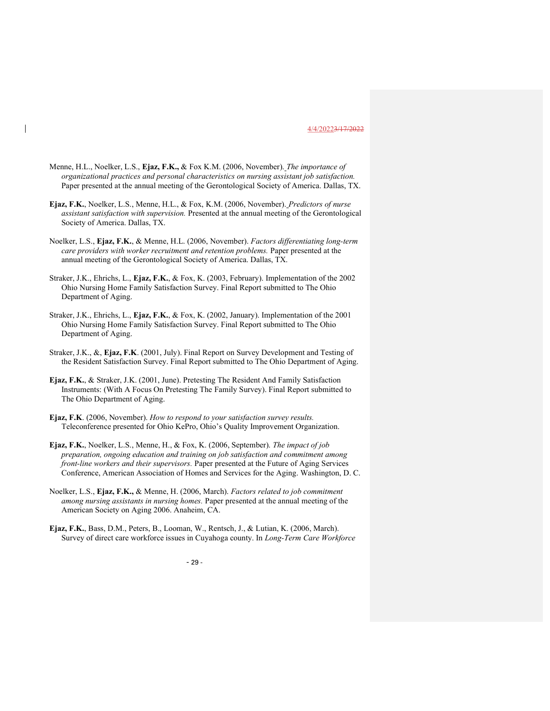- Menne, H.L., Noelker, L.S., Ejaz, F.K., & Fox K.M. (2006, November). The importance of organizational practices and personal characteristics on nursing assistant job satisfaction. Paper presented at the annual meeting of the Gerontological Society of America. Dallas, TX.
- Ejaz, F.K., Noelker, L.S., Menne, H.L., & Fox, K.M. (2006, November). Predictors of nurse assistant satisfaction with supervision. Presented at the annual meeting of the Gerontological Society of America. Dallas, TX.
- Noelker, L.S., Ejaz, F.K., & Menne, H.L. (2006, November). Factors differentiating long-term care providers with worker recruitment and retention problems. Paper presented at the annual meeting of the Gerontological Society of America. Dallas, TX.
- Straker, J.K., Ehrichs, L., Ejaz, F.K., & Fox, K. (2003, February). Implementation of the 2002 Ohio Nursing Home Family Satisfaction Survey. Final Report submitted to The Ohio Department of Aging.
- Straker, J.K., Ehrichs, L., Ejaz, F.K., & Fox, K. (2002, January). Implementation of the 2001 Ohio Nursing Home Family Satisfaction Survey. Final Report submitted to The Ohio Department of Aging.
- Straker, J.K., &, Ejaz, F.K. (2001, July). Final Report on Survey Development and Testing of the Resident Satisfaction Survey. Final Report submitted to The Ohio Department of Aging.
- Ejaz, F.K., & Straker, J.K. (2001, June). Pretesting The Resident And Family Satisfaction Instruments: (With A Focus On Pretesting The Family Survey). Final Report submitted to The Ohio Department of Aging.
- Ejaz, F.K. (2006, November). How to respond to your satisfaction survey results. Teleconference presented for Ohio KePro, Ohio's Quality Improvement Organization.
- Ejaz, F.K., Noelker, L.S., Menne, H., & Fox, K. (2006, September). The impact of job preparation, ongoing education and training on job satisfaction and commitment among front-line workers and their supervisors. Paper presented at the Future of Aging Services Conference, American Association of Homes and Services for the Aging. Washington, D. C.
- Noelker, L.S., Ejaz, F.K., & Menne, H. (2006, March). Factors related to job commitment among nursing assistants in nursing homes. Paper presented at the annual meeting of the American Society on Aging 2006. Anaheim, CA.
- Ejaz, F.K., Bass, D.M., Peters, B., Looman, W., Rentsch, J., & Lutian, K. (2006, March). Survey of direct care workforce issues in Cuyahoga county. In Long-Term Care Workforce

 $- 29 -$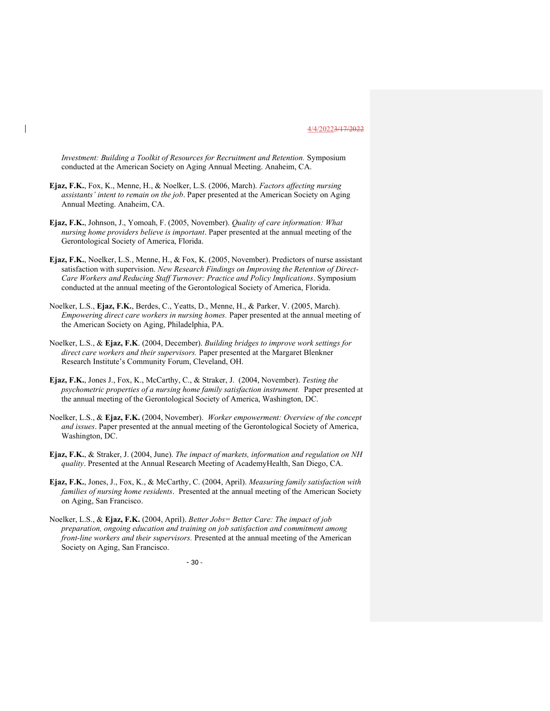Investment: Building a Toolkit of Resources for Recruitment and Retention. Symposium conducted at the American Society on Aging Annual Meeting. Anaheim, CA.

- Ejaz, F.K., Fox, K., Menne, H., & Noelker, L.S. (2006, March). Factors affecting nursing assistants' intent to remain on the job. Paper presented at the American Society on Aging Annual Meeting. Anaheim, CA.
- Ejaz, F.K., Johnson, J., Yomoah, F. (2005, November). Quality of care information: What nursing home providers believe is important. Paper presented at the annual meeting of the Gerontological Society of America, Florida.
- Ejaz, F.K., Noelker, L.S., Menne, H., & Fox, K. (2005, November). Predictors of nurse assistant satisfaction with supervision. New Research Findings on Improving the Retention of Direct-Care Workers and Reducing Staff Turnover: Practice and Policy Implications. Symposium conducted at the annual meeting of the Gerontological Society of America, Florida.
- Noelker, L.S., Ejaz, F.K., Berdes, C., Yeatts, D., Menne, H., & Parker, V. (2005, March). Empowering direct care workers in nursing homes. Paper presented at the annual meeting of the American Society on Aging, Philadelphia, PA.
- Noelker, L.S., & Ejaz, F.K. (2004, December). Building bridges to improve work settings for direct care workers and their supervisors. Paper presented at the Margaret Blenkner Research Institute's Community Forum, Cleveland, OH.
- Ejaz, F.K., Jones J., Fox, K., McCarthy, C., & Straker, J. (2004, November). Testing the psychometric properties of a nursing home family satisfaction instrument. Paper presented at the annual meeting of the Gerontological Society of America, Washington, DC.
- Noelker, L.S., & Ejaz, F.K. (2004, November). Worker empowerment: Overview of the concept and issues. Paper presented at the annual meeting of the Gerontological Society of America, Washington, DC.
- Ejaz, F.K., & Straker, J. (2004, June). The impact of markets, information and regulation on NH quality. Presented at the Annual Research Meeting of AcademyHealth, San Diego, CA.
- Ejaz, F.K., Jones, J., Fox, K., & McCarthy, C. (2004, April). Measuring family satisfaction with families of nursing home residents. Presented at the annual meeting of the American Society on Aging, San Francisco.
- Noelker, L.S., & Ejaz, F.K. (2004, April). Better Jobs= Better Care: The impact of job preparation, ongoing education and training on job satisfaction and commitment among front-line workers and their supervisors. Presented at the annual meeting of the American Society on Aging, San Francisco.

 $-30 -$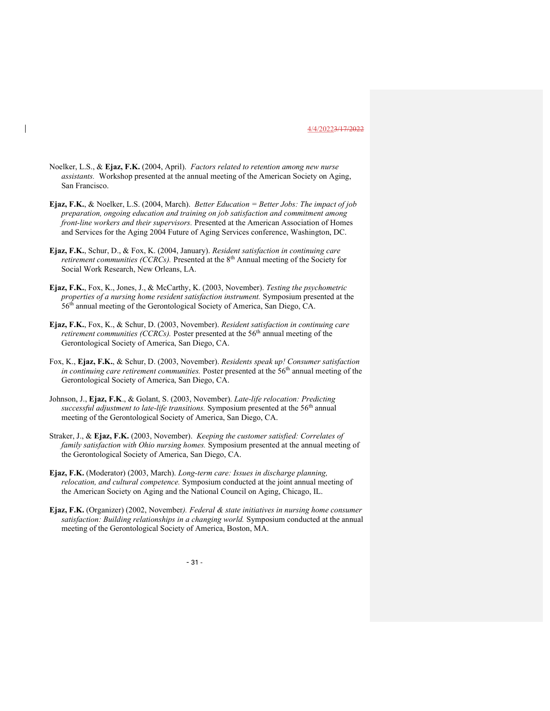- Noelker, L.S., & Ejaz, F.K. (2004, April). Factors related to retention among new nurse assistants. Workshop presented at the annual meeting of the American Society on Aging, San Francisco.
- Ejaz, F.K., & Noelker, L.S. (2004, March). Better Education = Better Jobs: The impact of job preparation, ongoing education and training on job satisfaction and commitment among front-line workers and their supervisors. Presented at the American Association of Homes and Services for the Aging 2004 Future of Aging Services conference, Washington, DC.
- Ejaz, F.K., Schur, D., & Fox, K. (2004, January). Resident satisfaction in continuing care *retirement communities (CCRCs)*. Presented at the  $8<sup>th</sup>$  Annual meeting of the Society for Social Work Research, New Orleans, LA.
- Ejaz, F.K., Fox, K., Jones, J., & McCarthy, K. (2003, November). Testing the psychometric properties of a nursing home resident satisfaction instrument. Symposium presented at the 56th annual meeting of the Gerontological Society of America, San Diego, CA.
- Ejaz, F.K., Fox, K., & Schur, D. (2003, November). Resident satisfaction in continuing care *retirement communities (CCRCs)*. Poster presented at the  $56<sup>th</sup>$  annual meeting of the Gerontological Society of America, San Diego, CA.
- Fox, K., Ejaz, F.K., & Schur, D. (2003, November). Residents speak up! Consumer satisfaction in continuing care retirement communities. Poster presented at the  $56<sup>th</sup>$  annual meeting of the Gerontological Society of America, San Diego, CA.
- Johnson, J., Ejaz, F.K., & Golant, S. (2003, November). Late-life relocation: Predicting successful adjustment to late-life transitions. Symposium presented at the  $56<sup>th</sup>$  annual meeting of the Gerontological Society of America, San Diego, CA.
- Straker, J., & Ejaz, F.K. (2003, November). *Keeping the customer satisfied: Correlates of* family satisfaction with Ohio nursing homes. Symposium presented at the annual meeting of the Gerontological Society of America, San Diego, CA.
- Ejaz, F.K. (Moderator) (2003, March). Long-term care: Issues in discharge planning, relocation, and cultural competence. Symposium conducted at the joint annual meeting of the American Society on Aging and the National Council on Aging, Chicago, IL.
- Ejaz, F.K. (Organizer) (2002, November). Federal & state initiatives in nursing home consumer satisfaction: Building relationships in a changing world. Symposium conducted at the annual meeting of the Gerontological Society of America, Boston, MA.

 $-31$  -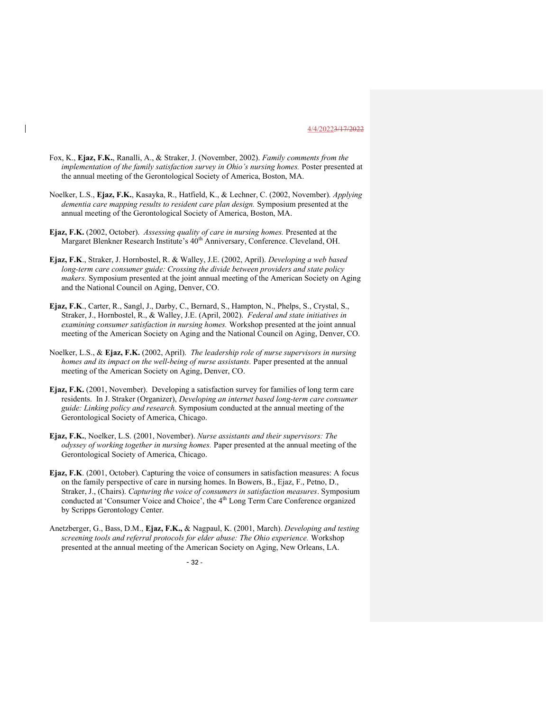- Fox, K., Ejaz, F.K., Ranalli, A., & Straker, J. (November, 2002). Family comments from the implementation of the family satisfaction survey in Ohio's nursing homes. Poster presented at the annual meeting of the Gerontological Society of America, Boston, MA.
- Noelker, L.S., Ejaz, F.K., Kasayka, R., Hatfield, K., & Lechner, C. (2002, November). Applying dementia care mapping results to resident care plan design. Symposium presented at the annual meeting of the Gerontological Society of America, Boston, MA.
- Ejaz, F.K. (2002, October). Assessing quality of care in nursing homes. Presented at the Margaret Blenkner Research Institute's 40<sup>th</sup> Anniversary, Conference. Cleveland, OH.
- Ejaz, F.K., Straker, J. Hornbostel, R. & Walley, J.E. (2002, April). Developing a web based long-term care consumer guide: Crossing the divide between providers and state policy makers. Symposium presented at the joint annual meeting of the American Society on Aging and the National Council on Aging, Denver, CO.
- Ejaz, F.K., Carter, R., Sangl, J., Darby, C., Bernard, S., Hampton, N., Phelps, S., Crystal, S., Straker, J., Hornbostel, R., & Walley, J.E. (April, 2002). Federal and state initiatives in examining consumer satisfaction in nursing homes. Workshop presented at the joint annual meeting of the American Society on Aging and the National Council on Aging, Denver, CO.
- Noelker, L.S., & Ejaz, F.K. (2002, April). The leadership role of nurse supervisors in nursing homes and its impact on the well-being of nurse assistants. Paper presented at the annual meeting of the American Society on Aging, Denver, CO.
- Ejaz, F.K. (2001, November). Developing a satisfaction survey for families of long term care residents. In J. Straker (Organizer), Developing an internet based long-term care consumer guide: Linking policy and research. Symposium conducted at the annual meeting of the Gerontological Society of America, Chicago.
- Ejaz, F.K., Noelker, L.S. (2001, November). Nurse assistants and their supervisors: The odyssey of working together in nursing homes. Paper presented at the annual meeting of the Gerontological Society of America, Chicago.
- Ejaz, F.K. (2001, October). Capturing the voice of consumers in satisfaction measures: A focus on the family perspective of care in nursing homes. In Bowers, B., Ejaz, F., Petno, D., Straker, J., (Chairs). Capturing the voice of consumers in satisfaction measures. Symposium conducted at 'Consumer Voice and Choice', the 4<sup>th</sup> Long Term Care Conference organized by Scripps Gerontology Center.
- Anetzberger, G., Bass, D.M., Ejaz, F.K., & Nagpaul, K. (2001, March). Developing and testing screening tools and referral protocols for elder abuse: The Ohio experience. Workshop presented at the annual meeting of the American Society on Aging, New Orleans, LA.

- 32 -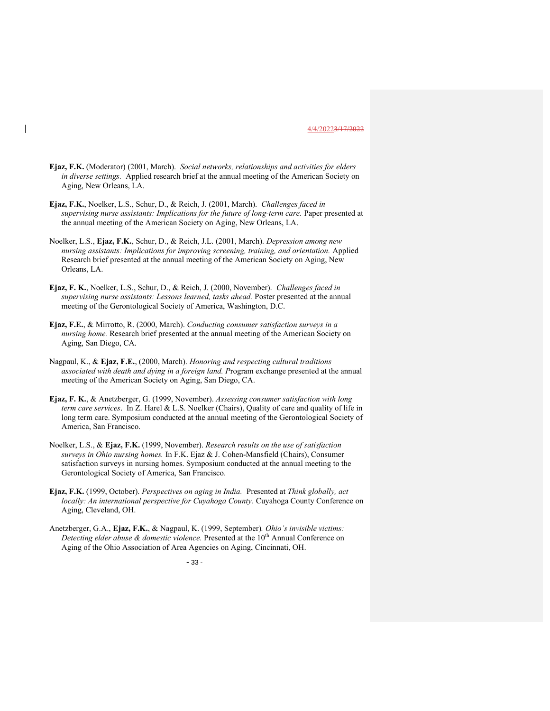- Ejaz, F.K. (Moderator) (2001, March). Social networks, relationships and activities for elders in diverse settings. Applied research brief at the annual meeting of the American Society on Aging, New Orleans, LA.
- Ejaz, F.K., Noelker, L.S., Schur, D., & Reich, J. (2001, March). Challenges faced in supervising nurse assistants: Implications for the future of long-term care. Paper presented at the annual meeting of the American Society on Aging, New Orleans, LA.
- Noelker, L.S., Ejaz, F.K., Schur, D., & Reich, J.L. (2001, March). Depression among new nursing assistants: Implications for improving screening, training, and orientation. Applied Research brief presented at the annual meeting of the American Society on Aging, New Orleans, LA.
- Ejaz, F. K., Noelker, L.S., Schur, D., & Reich, J. (2000, November). Challenges faced in supervising nurse assistants: Lessons learned, tasks ahead. Poster presented at the annual meeting of the Gerontological Society of America, Washington, D.C.
- Ejaz, F.E., & Mirrotto, R. (2000, March). Conducting consumer satisfaction surveys in a nursing home. Research brief presented at the annual meeting of the American Society on Aging, San Diego, CA.
- Nagpaul, K., & Ejaz, F.E., (2000, March). Honoring and respecting cultural traditions associated with death and dying in a foreign land. Program exchange presented at the annual meeting of the American Society on Aging, San Diego, CA.
- Ejaz, F. K., & Anetzberger, G. (1999, November). Assessing consumer satisfaction with long term care services. In Z. Harel & L.S. Noelker (Chairs), Quality of care and quality of life in long term care. Symposium conducted at the annual meeting of the Gerontological Society of America, San Francisco.
- Noelker, L.S., & Ejaz, F.K. (1999, November). Research results on the use of satisfaction surveys in Ohio nursing homes. In F.K. Ejaz & J. Cohen-Mansfield (Chairs), Consumer satisfaction surveys in nursing homes. Symposium conducted at the annual meeting to the Gerontological Society of America, San Francisco.
- Ejaz, F.K. (1999, October). Perspectives on aging in India. Presented at Think globally, act locally: An international perspective for Cuyahoga County. Cuyahoga County Conference on Aging, Cleveland, OH.
- Anetzberger, G.A., Ejaz, F.K., & Nagpaul, K. (1999, September). Ohio's invisible victims: Detecting elder abuse  $\&$  domestic violence. Presented at the 10<sup>th</sup> Annual Conference on Aging of the Ohio Association of Area Agencies on Aging, Cincinnati, OH.

- 33 -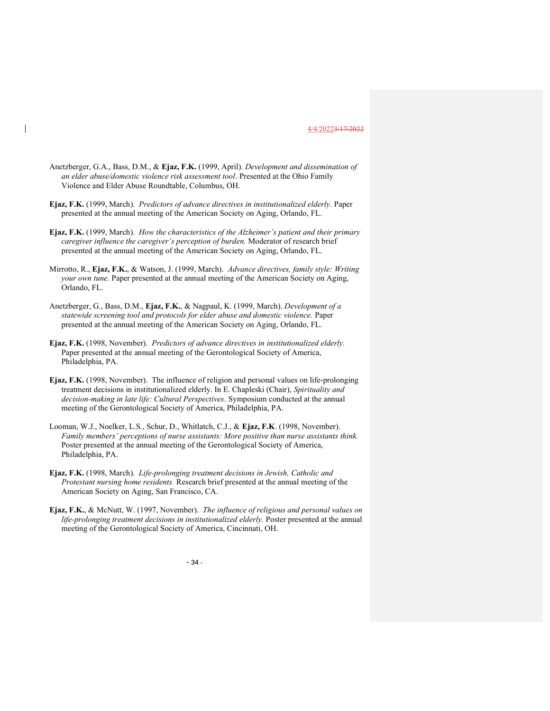- Anetzberger, G.A., Bass, D.M., & Ejaz, F.K. (1999, April). Development and dissemination of an elder abuse/domestic violence risk assessment tool. Presented at the Ohio Family Violence and Elder Abuse Roundtable, Columbus, OH.
- Ejaz, F.K. (1999, March). Predictors of advance directives in institutionalized elderly. Paper presented at the annual meeting of the American Society on Aging, Orlando, FL.
- Ejaz, F.K. (1999, March). How the characteristics of the Alzheimer's patient and their primary caregiver influence the caregiver's perception of burden. Moderator of research brief presented at the annual meeting of the American Society on Aging, Orlando, FL.
- Mirrotto, R., Ejaz, F.K., & Watson, J. (1999, March). Advance directives, family style: Writing your own tune. Paper presented at the annual meeting of the American Society on Aging, Orlando, FL.
- Anetzberger, G., Bass, D.M., Ejaz, F.K., & Nagpaul, K. (1999, March). Development of a statewide screening tool and protocols for elder abuse and domestic violence. Paper presented at the annual meeting of the American Society on Aging, Orlando, FL.
- Ejaz, F.K. (1998, November). Predictors of advance directives in institutionalized elderly. Paper presented at the annual meeting of the Gerontological Society of America, Philadelphia, PA.
- Ejaz, F.K. (1998, November). The influence of religion and personal values on life-prolonging treatment decisions in institutionalized elderly. In E. Chapleski (Chair), Spirituality and decision-making in late life: Cultural Perspectives. Symposium conducted at the annual meeting of the Gerontological Society of America, Philadelphia, PA.
- Looman, W.J., Noelker, L.S., Schur, D., Whitlatch, C.J., & Ejaz, F.K. (1998, November). Family members' perceptions of nurse assistants: More positive than nurse assistants think. Poster presented at the annual meeting of the Gerontological Society of America, Philadelphia, PA.
- Ejaz, F.K. (1998, March). Life-prolonging treatment decisions in Jewish, Catholic and Protestant nursing home residents. Research brief presented at the annual meeting of the American Society on Aging, San Francisco, CA.
- Ejaz, F.K., & McNutt, W. (1997, November). The influence of religious and personal values on life-prolonging treatment decisions in institutionalized elderly. Poster presented at the annual meeting of the Gerontological Society of America, Cincinnati, OH.

- 34 -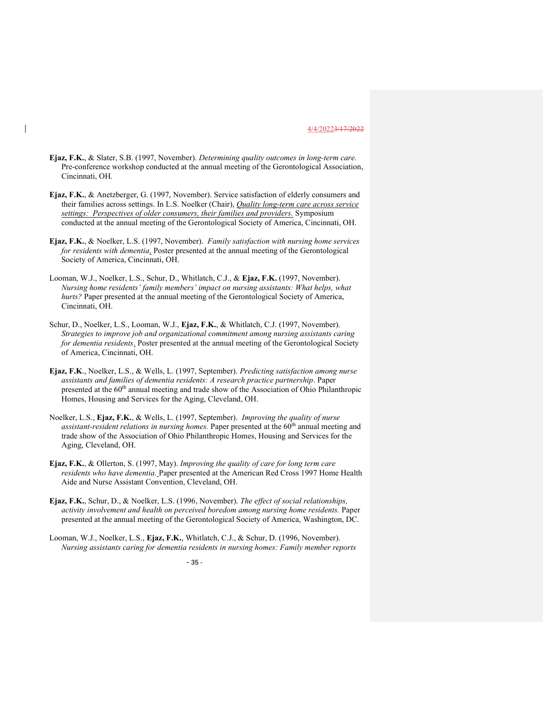- Ejaz, F.K., & Slater, S.B. (1997, November). Determining quality outcomes in long-term care. Pre-conference workshop conducted at the annual meeting of the Gerontological Association, Cincinnati, OH.
- Ejaz, F.K., & Anetzberger, G. (1997, November). Service satisfaction of elderly consumers and their families across settings. In L.S. Noelker (Chair), *Quality long-term care across service* settings: Perspectives of older consumers, their families and providers. Symposium conducted at the annual meeting of the Gerontological Society of America, Cincinnati, OH.
- Ejaz, F.K., & Noelker, L.S. (1997, November). Family satisfaction with nursing home services for residents with dementia. Poster presented at the annual meeting of the Gerontological Society of America, Cincinnati, OH.
- Looman, W.J., Noelker, L.S., Schur, D., Whitlatch, C.J., & Ejaz, F.K. (1997, November). Nursing home residents' family members' impact on nursing assistants: What helps, what hurts? Paper presented at the annual meeting of the Gerontological Society of America, Cincinnati, OH.
- Schur, D., Noelker, L.S., Looman, W.J., Ejaz, F.K., & Whitlatch, C.J. (1997, November). Strategies to improve job and organizational commitment among nursing assistants caring for dementia residents. Poster presented at the annual meeting of the Gerontological Society of America, Cincinnati, OH.
- Ejaz, F.K., Noelker, L.S., & Wells, L. (1997, September). Predicting satisfaction among nurse assistants and families of dementia residents: A research practice partnership. Paper presented at the 60<sup>th</sup> annual meeting and trade show of the Association of Ohio Philanthropic Homes, Housing and Services for the Aging, Cleveland, OH.
- Noelker, L.S., Ejaz, F.K., & Wells, L. (1997, September). *Improving the quality of nurse assistant-resident relations in nursing homes.* Paper presented at the  $60<sup>th</sup>$  annual meeting and trade show of the Association of Ohio Philanthropic Homes, Housing and Services for the Aging, Cleveland, OH.
- Ejaz, F.K., & Ollerton, S. (1997, May). Improving the quality of care for long term care residents who have dementia. Paper presented at the American Red Cross 1997 Home Health Aide and Nurse Assistant Convention, Cleveland, OH.
- Ejaz, F.K., Schur, D., & Noelker, L.S. (1996, November). The effect of social relationships, activity involvement and health on perceived boredom among nursing home residents. Paper presented at the annual meeting of the Gerontological Society of America, Washington, DC.
- Looman, W.J., Noelker, L.S., Ejaz, F.K., Whitlatch, C.J., & Schur, D. (1996, November). Nursing assistants caring for dementia residents in nursing homes: Family member reports

 $-35$  -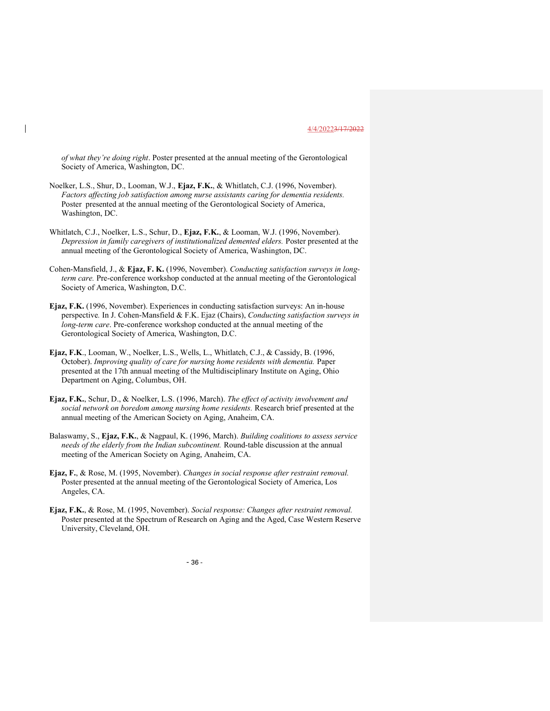of what they're doing right. Poster presented at the annual meeting of the Gerontological Society of America, Washington, DC.

- Noelker, L.S., Shur, D., Looman, W.J., Ejaz, F.K., & Whitlatch, C.J. (1996, November). Factors affecting job satisfaction among nurse assistants caring for dementia residents. Poster presented at the annual meeting of the Gerontological Society of America, Washington, DC.
- Whitlatch, C.J., Noelker, L.S., Schur, D., Ejaz, F.K., & Looman, W.J. (1996, November). Depression in family caregivers of institutionalized demented elders. Poster presented at the annual meeting of the Gerontological Society of America, Washington, DC.
- Cohen-Mansfield, J., & Ejaz, F. K. (1996, November). Conducting satisfaction surveys in longterm care. Pre-conference workshop conducted at the annual meeting of the Gerontological Society of America, Washington, D.C.
- Ejaz, F.K. (1996, November). Experiences in conducting satisfaction surveys: An in-house perspective. In J. Cohen-Mansfield & F.K. Ejaz (Chairs), Conducting satisfaction surveys in long-term care. Pre-conference workshop conducted at the annual meeting of the Gerontological Society of America, Washington, D.C.
- Ejaz, F.K., Looman, W., Noelker, L.S., Wells, L., Whitlatch, C.J., & Cassidy, B. (1996, October). Improving quality of care for nursing home residents with dementia. Paper presented at the 17th annual meeting of the Multidisciplinary Institute on Aging, Ohio Department on Aging, Columbus, OH.
- Ejaz, F.K., Schur, D., & Noelker, L.S. (1996, March). The effect of activity involvement and social network on boredom among nursing home residents. Research brief presented at the annual meeting of the American Society on Aging, Anaheim, CA.
- Balaswamy, S., Ejaz, F.K., & Nagpaul, K. (1996, March). Building coalitions to assess service needs of the elderly from the Indian subcontinent. Round-table discussion at the annual meeting of the American Society on Aging, Anaheim, CA.
- Ejaz, F., & Rose, M. (1995, November). Changes in social response after restraint removal. Poster presented at the annual meeting of the Gerontological Society of America, Los Angeles, CA.
- Ejaz, F.K., & Rose, M. (1995, November). Social response: Changes after restraint removal. Poster presented at the Spectrum of Research on Aging and the Aged, Case Western Reserve University, Cleveland, OH.

 $-36$  -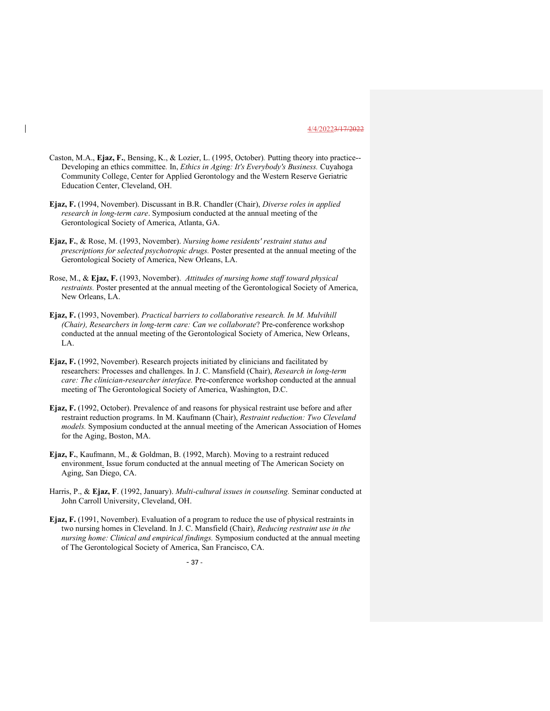- Caston, M.A., Ejaz, F., Bensing, K., & Lozier, L. (1995, October). Putting theory into practice-- Developing an ethics committee. In, Ethics in Aging: It's Everybody's Business. Cuyahoga Community College, Center for Applied Gerontology and the Western Reserve Geriatric Education Center, Cleveland, OH.
- Ejaz, F. (1994, November). Discussant in B.R. Chandler (Chair), Diverse roles in applied research in long-term care. Symposium conducted at the annual meeting of the Gerontological Society of America, Atlanta, GA.
- Ejaz, F., & Rose, M. (1993, November). Nursing home residents' restraint status and prescriptions for selected psychotropic drugs. Poster presented at the annual meeting of the Gerontological Society of America, New Orleans, LA.
- Rose, M., & Ejaz, F. (1993, November). Attitudes of nursing home staff toward physical restraints. Poster presented at the annual meeting of the Gerontological Society of America, New Orleans, LA.
- Ejaz, F. (1993, November). Practical barriers to collaborative research. In M. Mulvihill (Chair), Researchers in long-term care: Can we collaborate? Pre-conference workshop conducted at the annual meeting of the Gerontological Society of America, New Orleans, LA.
- Ejaz, F. (1992, November). Research projects initiated by clinicians and facilitated by researchers: Processes and challenges. In J. C. Mansfield (Chair), Research in long-term care: The clinician-researcher interface. Pre-conference workshop conducted at the annual meeting of The Gerontological Society of America, Washington, D.C.
- Ejaz, F. (1992, October). Prevalence of and reasons for physical restraint use before and after restraint reduction programs. In M. Kaufmann (Chair), Restraint reduction: Two Cleveland models. Symposium conducted at the annual meeting of the American Association of Homes for the Aging, Boston, MA.
- Ejaz, F., Kaufmann, M., & Goldman, B. (1992, March). Moving to a restraint reduced environment. Issue forum conducted at the annual meeting of The American Society on Aging, San Diego, CA.
- Harris, P., & Ejaz, F. (1992, January). Multi-cultural issues in counseling. Seminar conducted at John Carroll University, Cleveland, OH.
- Ejaz, F. (1991, November). Evaluation of a program to reduce the use of physical restraints in two nursing homes in Cleveland. In J. C. Mansfield (Chair), Reducing restraint use in the nursing home: Clinical and empirical findings. Symposium conducted at the annual meeting of The Gerontological Society of America, San Francisco, CA.

- 37 -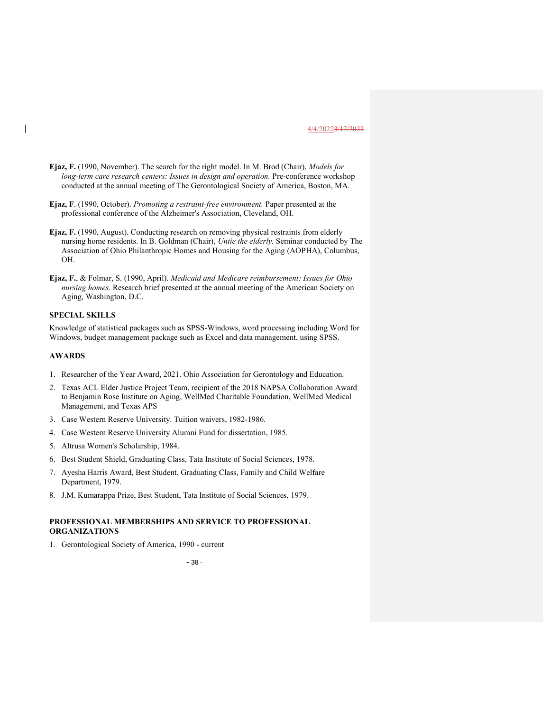- Ejaz, F. (1990, November). The search for the right model. In M. Brod (Chair), Models for long-term care research centers: Issues in design and operation. Pre-conference workshop conducted at the annual meeting of The Gerontological Society of America, Boston, MA.
- Ejaz, F. (1990, October). Promoting a restraint-free environment. Paper presented at the professional conference of the Alzheimer's Association, Cleveland, OH.
- Ejaz, F. (1990, August). Conducting research on removing physical restraints from elderly nursing home residents. In B. Goldman (Chair), Untie the elderly. Seminar conducted by The Association of Ohio Philanthropic Homes and Housing for the Aging (AOPHA), Columbus, OH.
- Ejaz, F., & Folmar, S. (1990, April). Medicaid and Medicare reimbursement: Issues for Ohio nursing homes. Research brief presented at the annual meeting of the American Society on Aging, Washington, D.C.

# SPECIAL SKILLS

Knowledge of statistical packages such as SPSS-Windows, word processing including Word for Windows, budget management package such as Excel and data management, using SPSS.

#### AWARDS

- 1. Researcher of the Year Award, 2021. Ohio Association for Gerontology and Education.
- 2. Texas ACL Elder Justice Project Team, recipient of the 2018 NAPSA Collaboration Award to Benjamin Rose Institute on Aging, WellMed Charitable Foundation, WellMed Medical Management, and Texas APS
- 3. Case Western Reserve University. Tuition waivers, 1982-1986.
- 4. Case Western Reserve University Alumni Fund for dissertation, 1985.
- 5. Altrusa Women's Scholarship, 1984.
- 6. Best Student Shield, Graduating Class, Tata Institute of Social Sciences, 1978.
- 7. Ayesha Harris Award, Best Student, Graduating Class, Family and Child Welfare Department, 1979.
- 8. J.M. Kumarappa Prize, Best Student, Tata Institute of Social Sciences, 1979.

# PROFESSIONAL MEMBERSHIPS AND SERVICE TO PROFESSIONAL ORGANIZATIONS

1. Gerontological Society of America, 1990 - current

 $-38 -$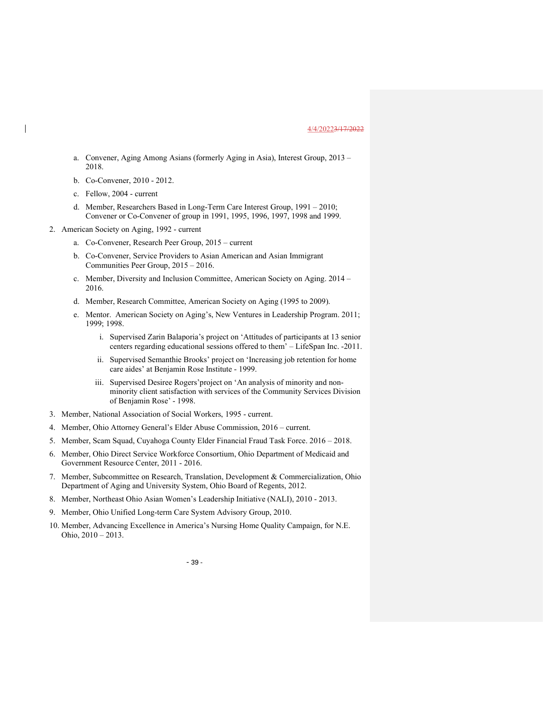- a. Convener, Aging Among Asians (formerly Aging in Asia), Interest Group, 2013 2018.
- b. Co-Convener, 2010 2012.
- c. Fellow, 2004 current
- d. Member, Researchers Based in Long-Term Care Interest Group, 1991 2010; Convener or Co-Convener of group in 1991, 1995, 1996, 1997, 1998 and 1999.
- 2. American Society on Aging, 1992 current
	- a. Co-Convener, Research Peer Group, 2015 current
	- b. Co-Convener, Service Providers to Asian American and Asian Immigrant Communities Peer Group, 2015 – 2016.
	- c. Member, Diversity and Inclusion Committee, American Society on Aging. 2014 2016.
	- d. Member, Research Committee, American Society on Aging (1995 to 2009).
	- e. Mentor. American Society on Aging's, New Ventures in Leadership Program. 2011; 1999; 1998.
		- i. Supervised Zarin Balaporia's project on 'Attitudes of participants at 13 senior centers regarding educational sessions offered to them' – LifeSpan Inc. -2011.
		- ii. Supervised Semanthie Brooks' project on 'Increasing job retention for home care aides' at Benjamin Rose Institute - 1999.
		- iii. Supervised Desiree Rogers'project on 'An analysis of minority and nonminority client satisfaction with services of the Community Services Division of Benjamin Rose' - 1998.
- 3. Member, National Association of Social Workers, 1995 current.
- 4. Member, Ohio Attorney General's Elder Abuse Commission, 2016 current.
- 5. Member, Scam Squad, Cuyahoga County Elder Financial Fraud Task Force. 2016 2018.
- 6. Member, Ohio Direct Service Workforce Consortium, Ohio Department of Medicaid and Government Resource Center, 2011 - 2016.
- 7. Member, Subcommittee on Research, Translation, Development & Commercialization, Ohio Department of Aging and University System, Ohio Board of Regents, 2012.
- 8. Member, Northeast Ohio Asian Women's Leadership Initiative (NALI), 2010 2013.
- 9. Member, Ohio Unified Long-term Care System Advisory Group, 2010.
- 10. Member, Advancing Excellence in America's Nursing Home Quality Campaign, for N.E. Ohio, 2010 – 2013.

 $-39-$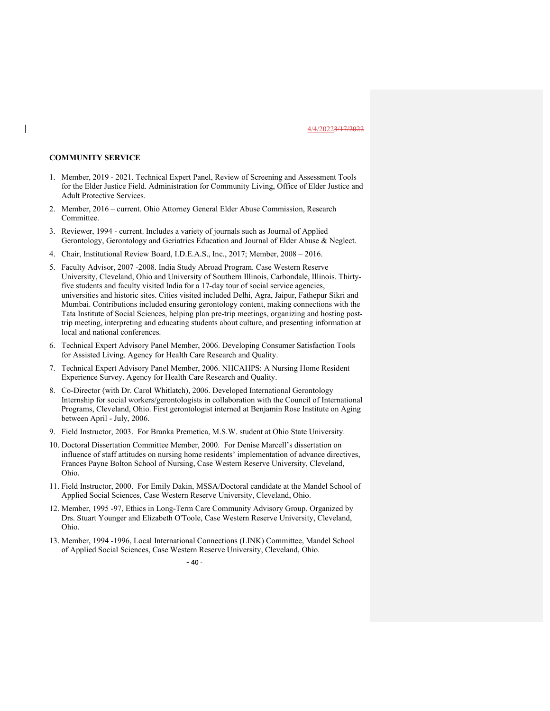## COMMUNITY SERVICE

- 1. Member, 2019 2021. Technical Expert Panel, Review of Screening and Assessment Tools for the Elder Justice Field. Administration for Community Living, Office of Elder Justice and Adult Protective Services.
- 2. Member, 2016 current. Ohio Attorney General Elder Abuse Commission, Research Committee.
- 3. Reviewer, 1994 current. Includes a variety of journals such as Journal of Applied Gerontology, Gerontology and Geriatrics Education and Journal of Elder Abuse & Neglect.
- 4. Chair, Institutional Review Board, I.D.E.A.S., Inc., 2017; Member, 2008 2016.
- 5. Faculty Advisor, 2007 -2008. India Study Abroad Program. Case Western Reserve University, Cleveland, Ohio and University of Southern Illinois, Carbondale, Illinois. Thirtyfive students and faculty visited India for a 17-day tour of social service agencies, universities and historic sites. Cities visited included Delhi, Agra, Jaipur, Fathepur Sikri and Mumbai. Contributions included ensuring gerontology content, making connections with the Tata Institute of Social Sciences, helping plan pre-trip meetings, organizing and hosting posttrip meeting, interpreting and educating students about culture, and presenting information at local and national conferences.
- 6. Technical Expert Advisory Panel Member, 2006. Developing Consumer Satisfaction Tools for Assisted Living. Agency for Health Care Research and Quality.
- 7. Technical Expert Advisory Panel Member, 2006. NHCAHPS: A Nursing Home Resident Experience Survey. Agency for Health Care Research and Quality.
- 8. Co-Director (with Dr. Carol Whitlatch), 2006. Developed International Gerontology Internship for social workers/gerontologists in collaboration with the Council of International Programs, Cleveland, Ohio. First gerontologist interned at Benjamin Rose Institute on Aging between April - July, 2006.
- 9. Field Instructor, 2003. For Branka Premetica, M.S.W. student at Ohio State University.
- 10. Doctoral Dissertation Committee Member, 2000. For Denise Marcell's dissertation on influence of staff attitudes on nursing home residents' implementation of advance directives, Frances Payne Bolton School of Nursing, Case Western Reserve University, Cleveland, Ohio.
- 11. Field Instructor, 2000. For Emily Dakin, MSSA/Doctoral candidate at the Mandel School of Applied Social Sciences, Case Western Reserve University, Cleveland, Ohio.
- 12. Member, 1995 -97, Ethics in Long-Term Care Community Advisory Group. Organized by Drs. Stuart Younger and Elizabeth O'Toole, Case Western Reserve University, Cleveland, Ohio.
- 13. Member, 1994 -1996, Local International Connections (LINK) Committee, Mandel School of Applied Social Sciences, Case Western Reserve University, Cleveland, Ohio.

 $-40-$